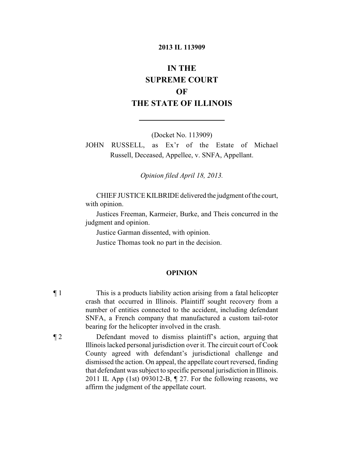#### **2013 IL 113909**

# **IN THE SUPREME COURT OF THE STATE OF ILLINOIS**

(Docket No. 113909)

JOHN RUSSELL, as Ex'r of the Estate of Michael Russell, Deceased, Appellee, v. SNFA, Appellant.

*Opinion filed April 18, 2013.*

CHIEF JUSTICE KILBRIDE delivered the judgment of the court, with opinion.

Justices Freeman, Karmeier, Burke, and Theis concurred in the judgment and opinion.

Justice Garman dissented, with opinion.

Justice Thomas took no part in the decision.

### **OPINION**

- ¶ 1 This is a products liability action arising from a fatal helicopter crash that occurred in Illinois. Plaintiff sought recovery from a number of entities connected to the accident, including defendant SNFA, a French company that manufactured a custom tail-rotor bearing for the helicopter involved in the crash.
- ¶ 2 Defendant moved to dismiss plaintiff's action, arguing that Illinoislacked personal jurisdiction over it. The circuit court of Cook County agreed with defendant's jurisdictional challenge and dismissed the action. On appeal, the appellate court reversed, finding that defendant was subject to specific personal jurisdiction in Illinois. 2011 IL App (1st) 093012-B, ¶ 27. For the following reasons, we affirm the judgment of the appellate court.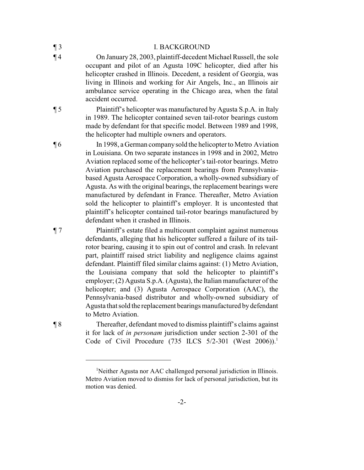| $\P_3$ | <b>I. BACKGROUND</b>                                                                                                                                                                                                                                                                                                                                                          |
|--------|-------------------------------------------------------------------------------------------------------------------------------------------------------------------------------------------------------------------------------------------------------------------------------------------------------------------------------------------------------------------------------|
| $\P$ 4 | On January 28, 2003, plaintiff-decedent Michael Russell, the sole<br>occupant and pilot of an Agusta 109C helicopter, died after his<br>helicopter crashed in Illinois. Decedent, a resident of Georgia, was<br>living in Illinois and working for Air Angels, Inc., an Illinois air<br>ambulance service operating in the Chicago area, when the fatal<br>accident occurred. |
| $\P 5$ | Plaintiff's helicopter was manufactured by Agusta S.p.A. in Italy<br>in 1989. The helicopter contained seven tail-rotor bearings custom<br>made by defendant for that specific model. Between 1989 and 1998,                                                                                                                                                                  |

the helicopter had multiple owners and operators. ¶ 6 In 1998, a German companysold the helicopterto Metro Aviation in Louisiana. On two separate instances in 1998 and in 2002, Metro Aviation replaced some of the helicopter's tail-rotor bearings. Metro Aviation purchased the replacement bearings from Pennsylvaniabased Agusta Aerospace Corporation, a wholly-owned subsidiary of Agusta. As with the original bearings, the replacement bearings were manufactured by defendant in France. Thereafter, Metro Aviation sold the helicopter to plaintiff's employer. It is uncontested that plaintiff's helicopter contained tail-rotor bearings manufactured by defendant when it crashed in Illinois.

¶ 7 Plaintiff's estate filed a multicount complaint against numerous defendants, alleging that his helicopter suffered a failure of its tailrotor bearing, causing it to spin out of control and crash. In relevant part, plaintiff raised strict liability and negligence claims against defendant. Plaintiff filed similar claims against: (1) Metro Aviation, the Louisiana company that sold the helicopter to plaintiff's employer; (2) Agusta S.p.A. (Agusta), the Italian manufacturer of the helicopter; and (3) Agusta Aerospace Corporation (AAC), the Pennsylvania-based distributor and wholly-owned subsidiary of Agusta that sold the replacement bearings manufactured bydefendant to Metro Aviation.

¶ 8 Thereafter, defendant moved to dismiss plaintiff's claims against it for lack of *in personam* jurisdiction under section 2-301 of the Code of Civil Procedure (735 ILCS  $5/2$ -301 (West 2006)).<sup>1</sup>

-2-

<sup>&</sup>lt;sup>1</sup>Neither Agusta nor AAC challenged personal jurisdiction in Illinois. Metro Aviation moved to dismiss for lack of personal jurisdiction, but its motion was denied.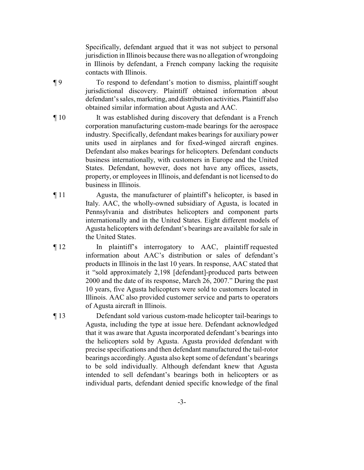Specifically, defendant argued that it was not subject to personal jurisdiction in Illinois because there was no allegation of wrongdoing in Illinois by defendant, a French company lacking the requisite contacts with Illinois.

¶ 9 To respond to defendant's motion to dismiss, plaintiff sought jurisdictional discovery. Plaintiff obtained information about defendant's sales, marketing, and distribution activities. Plaintiff also obtained similar information about Agusta and AAC.

- ¶ 10 It was established during discovery that defendant is a French corporation manufacturing custom-made bearings for the aerospace industry. Specifically, defendant makes bearings for auxiliary power units used in airplanes and for fixed-winged aircraft engines. Defendant also makes bearings for helicopters. Defendant conducts business internationally, with customers in Europe and the United States. Defendant, however, does not have any offices, assets, property, or employees in Illinois, and defendant is not licensed to do business in Illinois.
- ¶ 11 Agusta, the manufacturer of plaintiff's helicopter, is based in Italy. AAC, the wholly-owned subsidiary of Agusta, is located in Pennsylvania and distributes helicopters and component parts internationally and in the United States. Eight different models of Agusta helicopters with defendant's bearings are available for sale in the United States.
- ¶ 12 In plaintiff's interrogatory to AAC, plaintiff requested information about AAC's distribution or sales of defendant's products in Illinois in the last 10 years. In response, AAC stated that it "sold approximately 2,198 [defendant]-produced parts between 2000 and the date of its response, March 26, 2007." During the past 10 years, five Agusta helicopters were sold to customers located in Illinois. AAC also provided customer service and parts to operators of Agusta aircraft in Illinois.
- ¶ 13 Defendant sold various custom-made helicopter tail-bearings to Agusta, including the type at issue here. Defendant acknowledged that it was aware that Agusta incorporated defendant's bearings into the helicopters sold by Agusta. Agusta provided defendant with precise specifications and then defendant manufactured the tail-rotor bearings accordingly. Agusta also kept some of defendant's bearings to be sold individually. Although defendant knew that Agusta intended to sell defendant's bearings both in helicopters or as individual parts, defendant denied specific knowledge of the final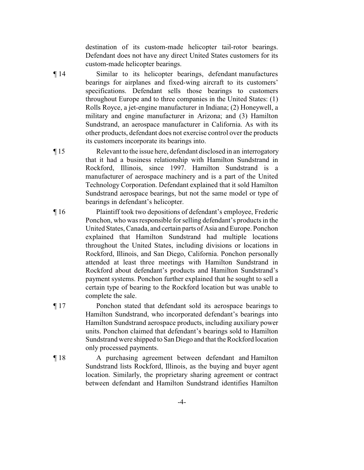destination of its custom-made helicopter tail-rotor bearings. Defendant does not have any direct United States customers for its custom-made helicopter bearings.

- ¶ 14 Similar to its helicopter bearings, defendant manufactures bearings for airplanes and fixed-wing aircraft to its customers' specifications. Defendant sells those bearings to customers throughout Europe and to three companies in the United States: (1) Rolls Royce, a jet-engine manufacturer in Indiana; (2) Honeywell, a military and engine manufacturer in Arizona; and (3) Hamilton Sundstrand, an aerospace manufacturer in California. As with its other products, defendant does not exercise control over the products its customers incorporate its bearings into.
- ¶ 15 Relevant to the issue here, defendant disclosed in an interrogatory that it had a business relationship with Hamilton Sundstrand in Rockford, Illinois, since 1997. Hamilton Sundstrand is a manufacturer of aerospace machinery and is a part of the United Technology Corporation. Defendant explained that it sold Hamilton Sundstrand aerospace bearings, but not the same model or type of bearings in defendant's helicopter.
- ¶ 16 Plaintiff took two depositions of defendant's employee, Frederic Ponchon, who was responsible for selling defendant's products in the United States, Canada, and certain parts of Asia and Europe. Ponchon explained that Hamilton Sundstrand had multiple locations throughout the United States, including divisions or locations in Rockford, Illinois, and San Diego, California. Ponchon personally attended at least three meetings with Hamilton Sundstrand in Rockford about defendant's products and Hamilton Sundstrand's payment systems. Ponchon further explained that he sought to sell a certain type of bearing to the Rockford location but was unable to complete the sale.
- ¶ 17 Ponchon stated that defendant sold its aerospace bearings to Hamilton Sundstrand, who incorporated defendant's bearings into Hamilton Sundstrand aerospace products, including auxiliary power units. Ponchon claimed that defendant's bearings sold to Hamilton Sundstrand were shipped to San Diego and that the Rockford location only processed payments.
- ¶ 18 A purchasing agreement between defendant and Hamilton Sundstrand lists Rockford, Illinois, as the buying and buyer agent location. Similarly, the proprietary sharing agreement or contract between defendant and Hamilton Sundstrand identifies Hamilton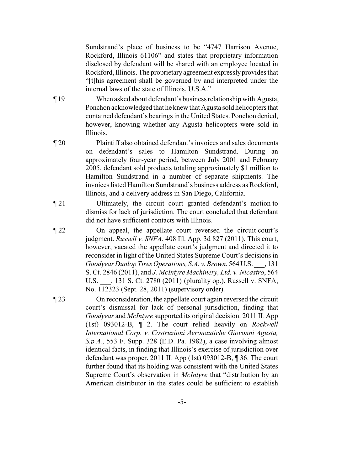Sundstrand's place of business to be "4747 Harrison Avenue, Rockford, Illinois 61106" and states that proprietary information disclosed by defendant will be shared with an employee located in Rockford, Illinois. The proprietary agreement expressly provides that "[t]his agreement shall be governed by and interpreted under the internal laws of the state of Illinois, U.S.A."

- ¶ 19 When asked about defendant's business relationship with Agusta, Ponchon acknowledged that he knew that Agusta sold helicopters that contained defendant's bearings in the United States. Ponchon denied, however, knowing whether any Agusta helicopters were sold in Illinois.
- ¶ 20 Plaintiff also obtained defendant's invoices and sales documents on defendant's sales to Hamilton Sundstrand. During an approximately four-year period, between July 2001 and February 2005, defendant sold products totaling approximately \$1 million to Hamilton Sundstrand in a number of separate shipments. The invoices listed Hamilton Sundstrand's business address as Rockford, Illinois, and a delivery address in San Diego, California.
- ¶ 21 Ultimately, the circuit court granted defendant's motion to dismiss for lack of jurisdiction. The court concluded that defendant did not have sufficient contacts with Illinois.
- ¶ 22 On appeal, the appellate court reversed the circuit court's judgment. *Russell v. SNFA*, 408 Ill. App. 3d 827 (2011). This court, however, vacated the appellate court's judgment and directed it to reconsider in light of the United States Supreme Court's decisions in *Goodyear Dunlop Tires Operations, S.A. v. Brown*, 564 U.S. \_\_\_, 131 S. Ct. 2846 (2011), and *J. McIntyre Machinery, Ltd. v. Nicastro*, 564 U.S. \_\_\_, 131 S. Ct. 2780 (2011) (plurality op.). Russell v. SNFA, No. 112323 (Sept. 28, 2011) (supervisory order).
- ¶ 23 On reconsideration, the appellate court again reversed the circuit court's dismissal for lack of personal jurisdiction, finding that *Goodyear* and *McIntyre* supported its original decision. 2011 IL App (1st) 093012-B, ¶ 2. The court relied heavily on *Rockwell International Corp. v. Costruzioni Aeronautiche Giovonni Agusta, S.p.A.*, 553 F. Supp. 328 (E.D. Pa. 1982), a case involving almost identical facts, in finding that Illinois's exercise of jurisdiction over defendant was proper. 2011 IL App (1st) 093012-B, ¶ 36. The court further found that its holding was consistent with the United States Supreme Court's observation in *McIntyre* that "distribution by an American distributor in the states could be sufficient to establish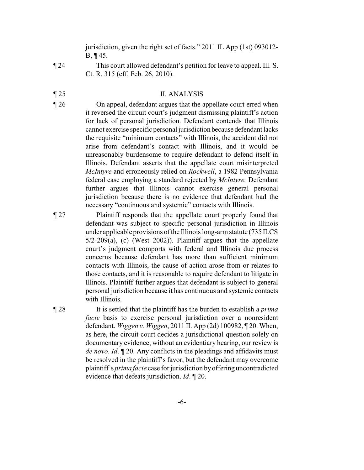jurisdiction, given the right set of facts." 2011 IL App (1st) 093012- B, ¶ 45.

¶ 24 This court allowed defendant's petition for leave to appeal. Ill. S. Ct. R. 315 (eff. Feb. 26, 2010).

## ¶ 25 II. ANALYSIS

- ¶ 26 On appeal, defendant argues that the appellate court erred when it reversed the circuit court's judgment dismissing plaintiff's action for lack of personal jurisdiction. Defendant contends that Illinois cannot exercise specific personal jurisdiction because defendant lacks the requisite "minimum contacts" with Illinois, the accident did not arise from defendant's contact with Illinois, and it would be unreasonably burdensome to require defendant to defend itself in Illinois. Defendant asserts that the appellate court misinterpreted *McIntyre* and erroneously relied on *Rockwell*, a 1982 Pennsylvania federal case employing a standard rejected by *McIntyre.* Defendant further argues that Illinois cannot exercise general personal jurisdiction because there is no evidence that defendant had the necessary "continuous and systemic" contacts with Illinois.
- ¶ 27 Plaintiff responds that the appellate court properly found that defendant was subject to specific personal jurisdiction in Illinois under applicable provisions of the Illinois long-arm statute (735 ILCS 5/2-209(a), (c) (West 2002)). Plaintiff argues that the appellate court's judgment comports with federal and Illinois due process concerns because defendant has more than sufficient minimum contacts with Illinois, the cause of action arose from or relates to those contacts, and it is reasonable to require defendant to litigate in Illinois. Plaintiff further argues that defendant is subject to general personal jurisdiction because it has continuous and systemic contacts with Illinois.

¶ 28 It is settled that the plaintiff has the burden to establish a *prima facie* basis to exercise personal jurisdiction over a nonresident defendant. *Wiggen v. Wiggen*, 2011 IL App (2d) 100982, ¶ 20. When, as here, the circuit court decides a jurisdictional question solely on documentary evidence, without an evidentiary hearing, our review is *de novo*. *Id*. ¶ 20. Any conflicts in the pleadings and affidavits must be resolved in the plaintiff's favor, but the defendant may overcome plaintiff's *prima facie* case for jurisdiction byoffering uncontradicted evidence that defeats jurisdiction. *Id*. ¶ 20.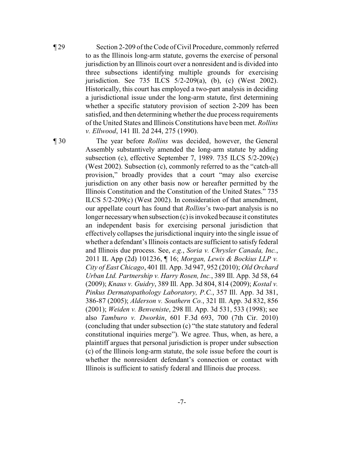¶ 29 Section 2-209 of the Code of Civil Procedure, commonly referred to as the Illinois long-arm statute, governs the exercise of personal jurisdiction by an Illinois court over a nonresident and is divided into three subsections identifying multiple grounds for exercising jurisdiction. See 735 ILCS 5/2-209(a), (b), (c) (West 2002). Historically, this court has employed a two-part analysis in deciding a jurisdictional issue under the long-arm statute, first determining whether a specific statutory provision of section 2-209 has been satisfied, and then determining whether the due process requirements of the United States and Illinois Constitutions have been met. *Rollins v. Ellwood*, 141 Ill. 2d 244, 275 (1990).

¶ 30 The year before *Rollins* was decided, however, the General Assembly substantively amended the long-arm statute by adding subsection (c), effective September 7, 1989. 735 ILCS 5/2-209(c) (West 2002). Subsection (c), commonly referred to as the "catch-all provision," broadly provides that a court "may also exercise jurisdiction on any other basis now or hereafter permitted by the Illinois Constitution and the Constitution of the United States." 735 ILCS 5/2-209(c) (West 2002). In consideration of that amendment, our appellate court has found that *Rollins*'s two-part analysis is no longer necessary when subsection  $(c)$  is invoked because it constitutes an independent basis for exercising personal jurisdiction that effectively collapses the jurisdictional inquiry into the single issue of whether a defendant's Illinois contacts are sufficient to satisfy federal and Illinois due process. See, *e.g.*, *Soria v. Chrysler Canada, Inc.*, 2011 IL App (2d) 101236, ¶ 16; *Morgan, Lewis & Bockius LLP v. City of East Chicago*, 401 Ill. App. 3d 947, 952 (2010); *Old Orchard Urban Ltd. Partnership v. Harry Rosen, Inc.*, 389 Ill. App. 3d 58, 64 (2009); *Knaus v. Guidry*, 389 Ill. App. 3d 804, 814 (2009); *Kostal v. Pinkus Dermatopathology Laboratory, P.C.*, 357 Ill. App. 3d 381, 386-87 (2005); *Alderson v. Southern Co.*, 321 Ill. App. 3d 832, 856 (2001); *Weiden v. Benveniste*, 298 Ill. App. 3d 531, 533 (1998); see also *Tamburo v. Dworkin*, 601 F.3d 693, 700 (7th Cir. 2010) (concluding that under subsection (c) "the state statutory and federal constitutional inquiries merge"). We agree. Thus, when, as here, a plaintiff argues that personal jurisdiction is proper under subsection (c) of the Illinois long-arm statute, the sole issue before the court is whether the nonresident defendant's connection or contact with Illinois is sufficient to satisfy federal and Illinois due process.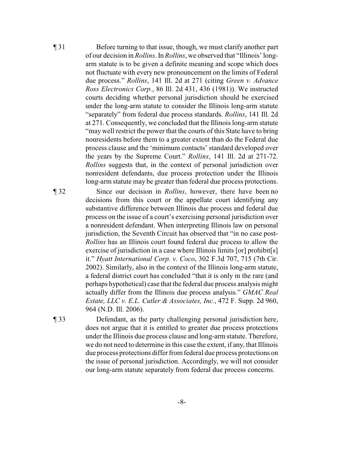¶ 31 Before turning to that issue, though, we must clarify another part of our decision in *Rollins*. In *Rollins*, we observed that "Illinois' longarm statute is to be given a definite meaning and scope which does not fluctuate with every new pronouncement on the limits of Federal due process." *Rollins*, 141 Ill. 2d at 271 (citing *Green v. Advance Ross Electronics Corp.*, 86 Ill. 2d 431, 436 (1981)). We instructed courts deciding whether personal jurisdiction should be exercised under the long-arm statute to consider the Illinois long-arm statute "separately" from federal due process standards. *Rollins*, 141 Ill. 2d at 271. Consequently, we concluded that the Illinois long-arm statute "may well restrict the power that the courts of this State have to bring nonresidents before them to a greater extent than do the Federal due process clause and the 'minimum contacts' standard developed over the years by the Supreme Court." *Rollins*, 141 Ill. 2d at 271-72. *Rollins* suggests that, in the context of personal jurisdiction over nonresident defendants, due process protection under the Illinois long-arm statute may be greater than federal due process protections.

¶ 32 Since our decision in *Rollins*, however, there have been no decisions from this court or the appellate court identifying any substantive difference between Illinois due process and federal due process on the issue of a court's exercising personal jurisdiction over a nonresident defendant. When interpreting Illinois law on personal jurisdiction, the Seventh Circuit has observed that "in no case post-*Rollins* has an Illinois court found federal due process to allow the exercise of jurisdiction in a case where Illinois limits [or] prohibit[s] it." *Hyatt International Corp. v. Coco*, 302 F.3d 707, 715 (7th Cir. 2002). Similarly, also in the context of the Illinois long-arm statute, a federal district court has concluded "that it is only in the rare (and perhaps hypothetical) case that the federal due process analysis might actually differ from the Illinois due process analysis." *GMAC Real Estate, LLC v. E.L. Cutler & Associates, Inc.*, 472 F. Supp. 2d 960, 964 (N.D. Ill. 2006).

¶ 33 Defendant, as the party challenging personal jurisdiction here, does not argue that it is entitled to greater due process protections under the Illinois due process clause and long-arm statute. Therefore, we do not need to determine in this case the extent, if any, that Illinois due process protections differfrom federal due process protections on the issue of personal jurisdiction. Accordingly, we will not consider our long-arm statute separately from federal due process concerns.

-8-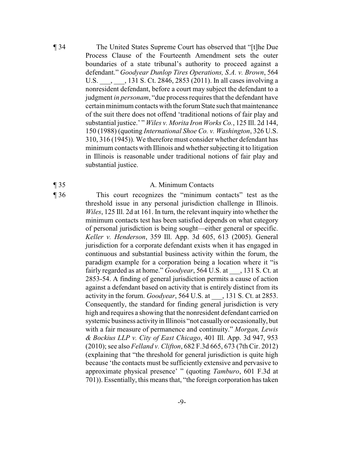¶ 34 The United States Supreme Court has observed that "[t]he Due Process Clause of the Fourteenth Amendment sets the outer boundaries of a state tribunal's authority to proceed against a defendant." *Goodyear Dunlop Tires Operations, S.A. v. Brown*, 564 U.S. \_\_\_, \_\_\_, 131 S. Ct. 2846, 2853 (2011). In all cases involving a nonresident defendant, before a court may subject the defendant to a judgment *in personam*, "due process requires that the defendant have certain minimumcontacts with the forum State such that maintenance of the suit there does not offend 'traditional notions of fair play and substantial justice.' " *Wiles v. Morita Iron Works Co.*, 125 Ill. 2d 144, 150 (1988) (quoting *International Shoe Co. v. Washington*, 326 U.S. 310, 316 (1945)). We therefore must consider whether defendant has minimum contacts with Illinois and whether subjecting it to litigation in Illinois is reasonable under traditional notions of fair play and substantial justice.

#### ¶ 35 A. Minimum Contacts

¶ 36 This court recognizes the "minimum contacts" test as the threshold issue in any personal jurisdiction challenge in Illinois. *Wiles*, 125 Ill. 2d at 161. In turn, the relevant inquiry into whether the minimum contacts test has been satisfied depends on what category of personal jurisdiction is being sought—either general or specific. *Keller v. Henderson*, 359 Ill. App. 3d 605, 613 (2005). General jurisdiction for a corporate defendant exists when it has engaged in continuous and substantial business activity within the forum, the paradigm example for a corporation being a location where it "is fairly regarded as at home." *Goodyear*, 564 U.S. at \_\_\_, 131 S. Ct. at 2853-54. A finding of general jurisdiction permits a cause of action against a defendant based on activity that is entirely distinct from its activity in the forum. *Goodyear*, 564 U.S. at \_\_\_, 131 S. Ct. at 2853. Consequently, the standard for finding general jurisdiction is very high and requires a showing that the nonresident defendant carried on systemic business activity in Illinois "not casually or occasionally, but with a fair measure of permanence and continuity." *Morgan, Lewis & Bockius LLP v. City of East Chicago*, 401 Ill. App. 3d 947, 953 (2010); see also *Felland v. Clifton*, 682 F.3d 665, 673 (7th Cir. 2012) (explaining that "the threshold for general jurisdiction is quite high because 'the contacts must be sufficiently extensive and pervasive to approximate physical presence' " (quoting *Tamburo*, 601 F.3d at 701)). Essentially, this means that, "the foreign corporation has taken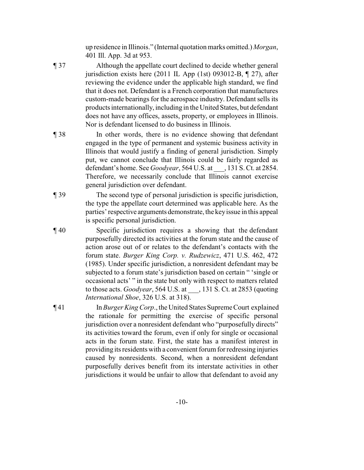up residence in Illinois." (Internal quotation marks omitted.) *Morgan*, 401 Ill. App. 3d at 953.

- ¶ 37 Although the appellate court declined to decide whether general jurisdiction exists here (2011 IL App (1st) 093012-B, ¶ 27), after reviewing the evidence under the applicable high standard, we find that it does not. Defendant is a French corporation that manufactures custom-made bearings for the aerospace industry. Defendant sells its products internationally, including in the United States, but defendant does not have any offices, assets, property, or employees in Illinois. Nor is defendant licensed to do business in Illinois.
- ¶ 38 In other words, there is no evidence showing that defendant engaged in the type of permanent and systemic business activity in Illinois that would justify a finding of general jurisdiction. Simply put, we cannot conclude that Illinois could be fairly regarded as defendant's home. See *Goodyear*, 564 U.S. at \_\_\_, 131 S. Ct. at 2854. Therefore, we necessarily conclude that Illinois cannot exercise general jurisdiction over defendant.
- ¶ 39 The second type of personal jurisdiction is specific jurisdiction, the type the appellate court determined was applicable here. As the parties'respective arguments demonstrate, the keyissue in this appeal is specific personal jurisdiction.
- ¶ 40 Specific jurisdiction requires a showing that the defendant purposefully directed its activities at the forum state and the cause of action arose out of or relates to the defendant's contacts with the forum state. *Burger King Corp. v. Rudzewicz*, 471 U.S. 462, 472 (1985). Under specific jurisdiction, a nonresident defendant may be subjected to a forum state's jurisdiction based on certain " 'single or occasional acts' " in the state but only with respect to matters related to those acts. *Goodyear*, 564 U.S. at \_\_\_, 131 S. Ct. at 2853 (quoting *International Shoe*, 326 U.S. at 318).
- ¶ 41 In *Burger King Corp*., the United States SupremeCourt explained the rationale for permitting the exercise of specific personal jurisdiction over a nonresident defendant who "purposefully directs" its activities toward the forum, even if only for single or occasional acts in the forum state. First, the state has a manifest interest in providing its residents with a convenient forum for redressing injuries caused by nonresidents. Second, when a nonresident defendant purposefully derives benefit from its interstate activities in other jurisdictions it would be unfair to allow that defendant to avoid any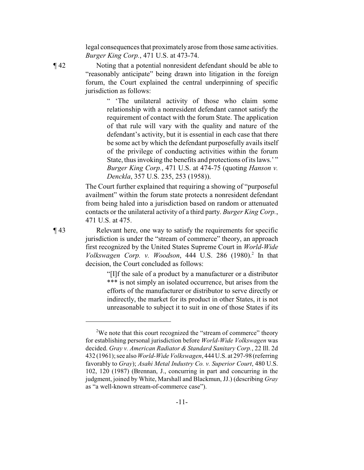legal consequences that proximatelyarose from those same activities. *Burger King Corp.*, 471 U.S. at 473-74.

¶ 42 Noting that a potential nonresident defendant should be able to "reasonably anticipate" being drawn into litigation in the foreign forum, the Court explained the central underpinning of specific jurisdiction as follows:

> " 'The unilateral activity of those who claim some relationship with a nonresident defendant cannot satisfy the requirement of contact with the forum State. The application of that rule will vary with the quality and nature of the defendant's activity, but it is essential in each case that there be some act by which the defendant purposefully avails itself of the privilege of conducting activities within the forum State, thus invoking the benefits and protections of its laws.' " *Burger King Corp.*, 471 U.S. at 474-75 (quoting *Hanson v. Denckla*, 357 U.S. 235, 253 (1958)).

The Court further explained that requiring a showing of "purposeful availment" within the forum state protects a nonresident defendant from being haled into a jurisdiction based on random or attenuated contacts or the unilateral activity of a third party. *Burger King Corp.*, 471 U.S. at 475.

¶ 43 Relevant here, one way to satisfy the requirements for specific jurisdiction is under the "stream of commerce" theory, an approach first recognized by the United States Supreme Court in *World-Wide Volkswagen Corp. v. Woodson,* 444 U.S. 286 (1980).<sup>2</sup> In that decision, the Court concluded as follows:

> "[I]f the sale of a product by a manufacturer or a distributor \*\*\* is not simply an isolated occurrence, but arises from the efforts of the manufacturer or distributor to serve directly or indirectly, the market for its product in other States, it is not unreasonable to subject it to suit in one of those States if its

-11-

<sup>&</sup>lt;sup>2</sup>We note that this court recognized the "stream of commerce" theory for establishing personal jurisdiction before *World-Wide Volkswagen* was decided. *Gray v. American Radiator & Standard Sanitary Corp.*, 22 Ill. 2d 432 (1961); see also *World-Wide Volkswagen*, 444 U.S. at 297-98 (referring favorably to *Gray*); *Asahi Metal Industry Co. v. Superior Court*, 480 U.S. 102, 120 (1987) (Brennan, J., concurring in part and concurring in the judgment, joined by White, Marshall and Blackmun, JJ.) (describing *Gray* as "a well-known stream-of-commerce case").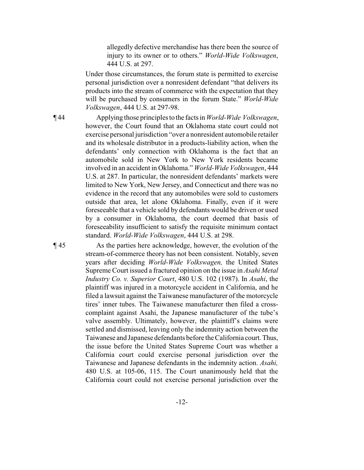allegedly defective merchandise has there been the source of injury to its owner or to others." *World-Wide Volkswagen*, 444 U.S. at 297.

Under those circumstances, the forum state is permitted to exercise personal jurisdiction over a nonresident defendant "that delivers its products into the stream of commerce with the expectation that they will be purchased by consumers in the forum State." *World-Wide Volkswagen*, 444 U.S. at 297-98.

¶ 44 Applying those principlesto the facts in *World-Wide Volkswagen*, however, the Court found that an Oklahoma state court could not exercise personal jurisdiction "over a nonresident automobile retailer and its wholesale distributor in a products-liability action, when the defendants' only connection with Oklahoma is the fact that an automobile sold in New York to New York residents became involved in an accident in Oklahoma." *World-Wide Volkswagen*, 444 U.S. at 287. In particular, the nonresident defendants' markets were limited to New York, New Jersey, and Connecticut and there was no evidence in the record that any automobiles were sold to customers outside that area, let alone Oklahoma. Finally, even if it were foreseeable that a vehicle sold by defendants would be driven or used by a consumer in Oklahoma, the court deemed that basis of foreseeability insufficient to satisfy the requisite minimum contact standard. *World-Wide Volkswagen*, 444 U.S. at 298.

¶ 45 As the parties here acknowledge, however, the evolution of the stream-of-commerce theory has not been consistent. Notably, seven years after deciding *World-Wide Volkswagen,* the United States Supreme Court issued a fractured opinion on the issue in *Asahi Metal Industry Co. v. Superior Court*, 480 U.S. 102 (1987). In *Asahi*, the plaintiff was injured in a motorcycle accident in California, and he filed a lawsuit against the Taiwanese manufacturer of the motorcycle tires' inner tubes. The Taiwanese manufacturer then filed a crosscomplaint against Asahi, the Japanese manufacturer of the tube's valve assembly. Ultimately, however, the plaintiff's claims were settled and dismissed, leaving only the indemnity action between the Taiwanese and Japanese defendants before the California court.Thus, the issue before the United States Supreme Court was whether a California court could exercise personal jurisdiction over the Taiwanese and Japanese defendants in the indemnity action. *Asahi,* 480 U.S. at 105-06, 115. The Court unanimously held that the California court could not exercise personal jurisdiction over the

-12-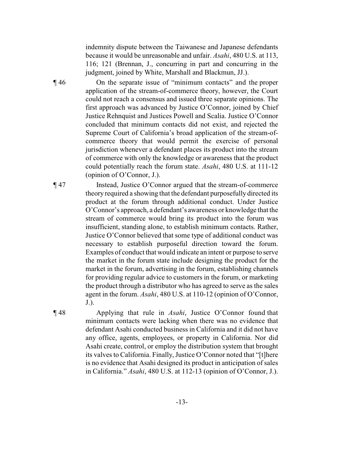indemnity dispute between the Taiwanese and Japanese defendants because it would be unreasonable and unfair. *Asahi*, 480 U.S. at 113, 116; 121 (Brennan, J., concurring in part and concurring in the judgment, joined by White, Marshall and Blackmun, JJ.).

¶ 46 On the separate issue of "minimum contacts" and the proper application of the stream-of-commerce theory, however, the Court could not reach a consensus and issued three separate opinions. The first approach was advanced by Justice O'Connor, joined by Chief Justice Rehnquist and Justices Powell and Scalia. Justice O'Connor concluded that minimum contacts did not exist, and rejected the Supreme Court of California's broad application of the stream-ofcommerce theory that would permit the exercise of personal jurisdiction whenever a defendant places its product into the stream of commerce with only the knowledge or awareness that the product could potentially reach the forum state. *Asahi*, 480 U.S. at 111-12 (opinion of O'Connor, J.).

¶ 47 Instead, Justice O'Connor argued that the stream-of-commerce theory required a showing that the defendant purposefully directed its product at the forum through additional conduct. Under Justice O'Connor's approach, a defendant's awareness or knowledge that the stream of commerce would bring its product into the forum was insufficient, standing alone, to establish minimum contacts. Rather, Justice O'Connor believed that some type of additional conduct was necessary to establish purposeful direction toward the forum. Examples of conduct that would indicate an intent or purpose to serve the market in the forum state include designing the product for the market in the forum, advertising in the forum, establishing channels for providing regular advice to customers in the forum, or marketing the product through a distributor who has agreed to serve as the sales agent in the forum. *Asahi*, 480 U.S. at 110-12 (opinion of O'Connor, J.).

¶ 48 Applying that rule in *Asahi*, Justice O'Connor found that minimum contacts were lacking when there was no evidence that defendant Asahi conducted business in California and it did not have any office, agents, employees, or property in California. Nor did Asahi create, control, or employ the distribution system that brought its valves to California. Finally, Justice O'Connor noted that "[t]here is no evidence that Asahi designed its product in anticipation of sales in California." *Asahi*, 480 U.S. at 112-13 (opinion of O'Connor, J.).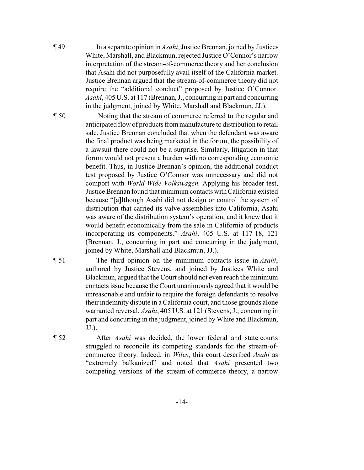¶ 49 In a separate opinion in *Asahi*, Justice Brennan, joined by Justices White, Marshall, and Blackmun, rejected Justice O'Connor's narrow interpretation of the stream-of-commerce theory and her conclusion that Asahi did not purposefully avail itself of the California market. Justice Brennan argued that the stream-of-commerce theory did not require the "additional conduct" proposed by Justice O'Connor. *Asahi*, 405 U.S. at 117 (Brennan, J., concurring in part and concurring in the judgment, joined by White, Marshall and Blackmun, JJ.).

¶ 50 Noting that the stream of commerce referred to the regular and anticipated flow of products from manufacture to distribution to retail sale, Justice Brennan concluded that when the defendant was aware the final product was being marketed in the forum, the possibility of a lawsuit there could not be a surprise. Similarly, litigation in that forum would not present a burden with no corresponding economic benefit. Thus, in Justice Brennan's opinion, the additional conduct test proposed by Justice O'Connor was unnecessary and did not comport with *World-Wide Volkswagen.* Applying his broader test, Justice Brennan found that minimum contacts with California existed because "[a]lthough Asahi did not design or control the system of distribution that carried its valve assemblies into California, Asahi was aware of the distribution system's operation, and it knew that it would benefit economically from the sale in California of products incorporating its components." *Asahi*, 405 U.S. at 117-18, 121 (Brennan, J., concurring in part and concurring in the judgment, joined by White, Marshall and Blackmun, JJ.).

¶ 51 The third opinion on the minimum contacts issue in *Asahi*, authored by Justice Stevens, and joined by Justices White and Blackmun, argued that the Court should not even reach the minimum contacts issue because the Court unanimously agreed that it would be unreasonable and unfair to require the foreign defendants to resolve their indemnity dispute in a California court, and those grounds alone warranted reversal. *Asahi*, 405 U.S. at 121 (Stevens, J., concurring in part and concurring in the judgment, joined by White and Blackmun, JJ.).

¶ 52 After *Asahi* was decided, the lower federal and state courts struggled to reconcile its competing standards for the stream-ofcommerce theory. Indeed, in *Wiles*, this court described *Asahi* as "extremely balkanized" and noted that *Asahi* presented two competing versions of the stream-of-commerce theory, a narrow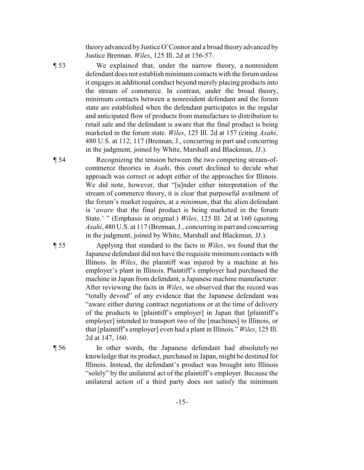theory advanced by Justice O'Connor and a broad theory advanced by Justice Brennan. *Wiles*, 125 Ill. 2d at 156-57.

¶ 53 We explained that, under the narrow theory, a nonresident defendant does not establish minimum contacts with the forum unless it engages in additional conduct beyond merely placing products into the stream of commerce. In contrast, under the broad theory, minimum contacts between a nonresident defendant and the forum state are established when the defendant participates in the regular and anticipated flow of products from manufacture to distribution to retail sale and the defendant is aware that the final product is being marketed in the forum state. *Wiles*, 125 Ill. 2d at 157 (citing *Asahi*, 480 U.S. at 112; 117 (Brennan, J., concurring in part and concurring in the judgment, joined by White, Marshall and Blackmun, JJ.).

¶ 54 Recognizing the tension between the two competing stream-ofcommerce theories in *Asahi*, this court declined to decide what approach was correct or adopt either of the approaches for Illinois. We did note, however, that "[u]nder either interpretation of the stream of commerce theory, it is clear that purposeful availment of the forum's market requires, at a *minimum*, that the alien defendant is '*aware* that the final product is being marketed in the forum State.' " (Emphasis in original.) *Wiles*, 125 Ill. 2d at 160 (quoting *Asahi*, 480 U.S. at 117 (Brennan, J., concurring in part and concurring in the judgment, joined by White, Marshall and Blackmun, JJ.).

¶ 55 Applying that standard to the facts in *Wiles*, we found that the Japanese defendant did not have the requisite minimum contacts with Illinois. In *Wiles*, the plaintiff was injured by a machine at his employer's plant in Illinois. Plaintiff's employer had purchased the machine in Japan from defendant, a Japanese machine manufacturer. After reviewing the facts in *Wiles*, we observed that the record was "totally devoid" of any evidence that the Japanese defendant was "aware either during contract negotiations or at the time of delivery of the products to [plaintiff's employer] in Japan that [plaintiff's employer] intended to transport two of the [machines] to Illinois, or that [plaintiff's employer] even had a plant in Illinois." *Wiles*, 125 Ill. 2d at 147, 160.

¶ 56 In other words, the Japanese defendant had absolutely no knowledge that its product, purchased in Japan, might be destined for Illinois. Instead, the defendant's product was brought into Illinois "solely" by the unilateral act of the plaintiff's employer. Because the unilateral action of a third party does not satisfy the minimum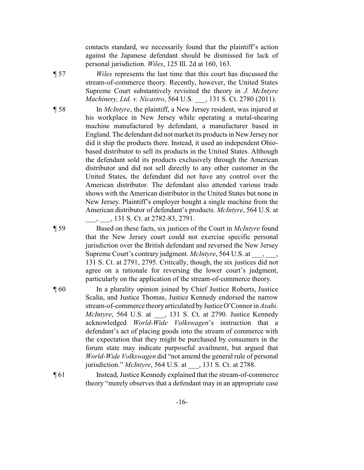contacts standard, we necessarily found that the plaintiff's action against the Japanese defendant should be dismissed for lack of personal jurisdiction. *Wiles*, 125 Ill. 2d at 160, 163.

¶ 57 *Wiles* represents the last time that this court has discussed the stream-of-commerce theory. Recently, however, the United States Supreme Court substantively revisited the theory in *J. McIntyre Machinery, Ltd. v. Nicastro*, 564 U.S. \_\_\_, 131 S. Ct. 2780 (2011).

¶ 58 In *McIntyre*, the plaintiff, a New Jersey resident, was injured at his workplace in New Jersey while operating a metal-shearing machine manufactured by defendant, a manufacturer based in England. The defendant did not market its products in New Jerseynor did it ship the products there. Instead, it used an independent Ohiobased distributor to sell its products in the United States. Although the defendant sold its products exclusively through the American distributor and did not sell directly to any other customer in the United States, the defendant did not have any control over the American distributor. The defendant also attended various trade shows with the American distributor in the United States but none in New Jersey. Plaintiff's employer bought a single machine from the American distributor of defendant's products. *McIntyre*, 564 U.S. at \_\_\_, \_\_\_, 131 S. Ct. at 2782-83, 2791.

¶ 59 Based on these facts, six justices of the Court in *McIntyre* found that the New Jersey court could not exercise specific personal jurisdiction over the British defendant and reversed the New Jersey Supreme Court's contrary judgment. *McIntyre*, 564 U.S. at  $\qquad, \qquad$ 131 S. Ct. at 2791, 2795. Critically, though, the six justices did not agree on a rationale for reversing the lower court's judgment, particularly on the application of the stream-of-commerce theory.

- ¶ 60 In a plurality opinion joined by Chief Justice Roberts, Justice Scalia, and Justice Thomas, Justice Kennedy endorsed the narrow stream-of-commerce theoryarticulated byJusticeO'Connor in *Asahi. McIntyre*, 564 U.S. at  $\qquad$ , 131 S. Ct. at 2790. Justice Kennedy acknowledged *World-Wide Volkswagen*'s instruction that a defendant's act of placing goods into the stream of commerce with the expectation that they might be purchased by consumers in the forum state may indicate purposeful availment, but argued that *World-Wide Volkswagen* did "not amend the general rule of personal jurisdiction." *McIntyre*, 564 U.S. at \_\_\_, 131 S. Ct. at 2788.
- ¶ 61 Instead, Justice Kennedy explained that the stream-of-commerce theory "merely observes that a defendant may in an appropriate case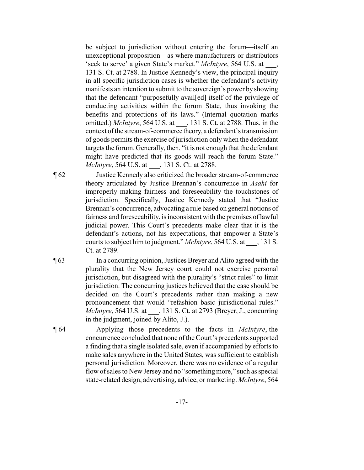be subject to jurisdiction without entering the forum—itself an unexceptional proposition—as where manufacturers or distributors 'seek to serve' a given State's market." *McIntyre*, 564 U.S. at \_\_\_, 131 S. Ct. at 2788. In Justice Kennedy's view, the principal inquiry in all specific jurisdiction cases is whether the defendant's activity manifests an intention to submit to the sovereign's power by showing that the defendant "purposefully avail[ed] itself of the privilege of conducting activities within the forum State, thus invoking the benefits and protections of its laws." (Internal quotation marks omitted.) *McIntyre*, 564 U.S. at \_\_\_, 131 S. Ct. at 2788. Thus, in the context of the stream-of-commerce theory, a defendant's transmission of goods permits the exercise of jurisdiction only when the defendant targets the forum. Generally, then, "it is not enough that the defendant might have predicted that its goods will reach the forum State." *McIntyre*, 564 U.S. at \_\_\_, 131 S. Ct. at 2788.

¶ 62 Justice Kennedy also criticized the broader stream-of-commerce theory articulated by Justice Brennan's concurrence in *Asahi* for improperly making fairness and foreseeability the touchstones of jurisdiction. Specifically, Justice Kennedy stated that "Justice Brennan's concurrence, advocating a rule based on general notions of fairness and foreseeability, is inconsistent with the premises of lawful judicial power. This Court's precedents make clear that it is the defendant's actions, not his expectations, that empower a State's courts to subject him to judgment." *McIntyre*, 564 U.S. at \_\_\_, 131 S. Ct. at 2789.

¶ 63 In a concurring opinion, Justices Breyer and Alito agreed with the plurality that the New Jersey court could not exercise personal jurisdiction, but disagreed with the plurality's "strict rules" to limit jurisdiction. The concurring justices believed that the case should be decided on the Court's precedents rather than making a new pronouncement that would "refashion basic jurisdictional rules." *McIntyre*, 564 U.S. at \_\_\_, 131 S. Ct. at 2793 (Breyer, J., concurring in the judgment, joined by Alito, J.).

¶ 64 Applying those precedents to the facts in *McIntyre*, the concurrence concluded that none of the Court's precedents supported a finding that a single isolated sale, even if accompanied by efforts to make sales anywhere in the United States, was sufficient to establish personal jurisdiction. Moreover, there was no evidence of a regular flow of sales to New Jersey and no "something more," such as special state-related design, advertising, advice, or marketing. *McIntyre*, 564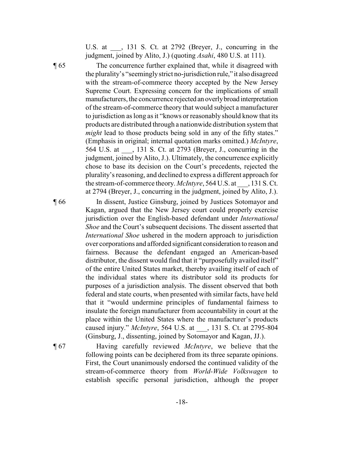U.S. at \_\_\_, 131 S. Ct. at 2792 (Breyer, J., concurring in the judgment, joined by Alito, J.) (quoting *Asahi*, 480 U.S. at 111).

¶ 65 The concurrence further explained that, while it disagreed with the plurality's "seeminglystrict no-jurisdiction rule," it also disagreed with the stream-of-commerce theory accepted by the New Jersey Supreme Court. Expressing concern for the implications of small manufacturers, the concurrence rejected an overlybroad interpretation of the stream-of-commerce theory that would subject a manufacturer to jurisdiction as long as it "knows or reasonably should know that its products are distributed through a nationwide distribution system that *might* lead to those products being sold in any of the fifty states." (Emphasis in original; internal quotation marks omitted.) *McIntyre*, 564 U.S. at \_\_\_, 131 S. Ct. at 2793 (Breyer, J., concurring in the judgment, joined by Alito, J.). Ultimately, the concurrence explicitly chose to base its decision on the Court's precedents, rejected the plurality's reasoning, and declined to express a different approach for the stream-of-commerce theory. *McIntyre*, 564 U.S. at \_\_\_, 131 S. Ct. at 2794 (Breyer, J., concurring in the judgment, joined by Alito, J.).

> Kagan, argued that the New Jersey court could properly exercise jurisdiction over the English-based defendant under *International Shoe* and the Court's subsequent decisions. The dissent asserted that *International Shoe* ushered in the modern approach to jurisdiction over corporations and afforded significant consideration to reason and fairness. Because the defendant engaged an American-based distributor, the dissent would find that it "purposefully availed itself" of the entire United States market, thereby availing itself of each of the individual states where its distributor sold its products for

¶ 66 In dissent, Justice Ginsburg, joined by Justices Sotomayor and

purposes of a jurisdiction analysis. The dissent observed that both federal and state courts, when presented with similar facts, have held that it "would undermine principles of fundamental fairness to insulate the foreign manufacturer from accountability in court at the place within the United States where the manufacturer's products caused injury." *McIntyre*, 564 U.S. at \_\_\_, 131 S. Ct. at 2795-804 (Ginsburg, J., dissenting, joined by Sotomayor and Kagan, JJ.). ¶ 67 Having carefully reviewed *McIntyre*, we believe that the following points can be deciphered from its three separate opinions. First, the Court unanimously endorsed the continued validity of the stream-of-commerce theory from *World-Wide Volkswagen* to

establish specific personal jurisdiction, although the proper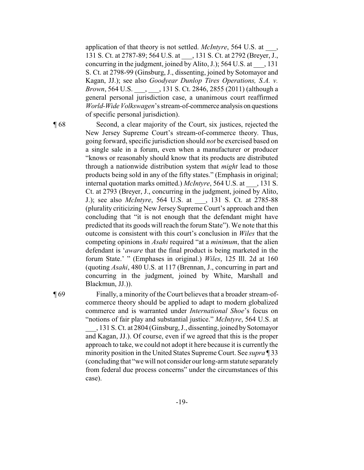application of that theory is not settled. *McIntyre*, 564 U.S. at \_\_\_, 131 S. Ct. at 2787-89; 564 U.S. at \_\_\_, 131 S. Ct. at 2792 (Breyer, J., concurring in the judgment, joined by Alito, J.); 564 U.S. at \_\_\_, 131 S. Ct. at 2798-99 (Ginsburg, J., dissenting, joined by Sotomayor and Kagan, JJ.); see also *Goodyear Dunlop Tires Operations, S.A. v. Brown*, 564 U.S. \_\_\_, \_\_\_, 131 S. Ct. 2846, 2855 (2011) (although a general personal jurisdiction case, a unanimous court reaffirmed *World-Wide Volkswagen*'s stream-of-commerce analysis on questions of specific personal jurisdiction).

¶ 68 Second, a clear majority of the Court, six justices, rejected the New Jersey Supreme Court's stream-of-commerce theory. Thus, going forward, specific jurisdiction should *not* be exercised based on a single sale in a forum, even when a manufacturer or producer "knows or reasonably should know that its products are distributed through a nationwide distribution system that *might* lead to those products being sold in any of the fifty states." (Emphasis in original; internal quotation marks omitted.) *McIntyre*, 564 U.S. at , 131 S. Ct. at 2793 (Breyer, J., concurring in the judgment, joined by Alito, J.); see also *McIntyre*, 564 U.S. at \_\_\_, 131 S. Ct. at 2785-88 (plurality criticizing New Jersey Supreme Court's approach and then concluding that "it is not enough that the defendant might have predicted that its goods will reach the forum State"). We note that this outcome is consistent with this court's conclusion in *Wiles* that the competing opinions in *Asahi* required "at a *minimum*, that the alien defendant is '*aware* that the final product is being marketed in the forum State.' " (Emphases in original.) *Wiles*, 125 Ill. 2d at 160 (quoting *Asahi*, 480 U.S. at 117 (Brennan, J., concurring in part and concurring in the judgment, joined by White, Marshall and Blackmun, JJ.)).

¶ 69 Finally, a minority of the Court believes that a broader stream-ofcommerce theory should be applied to adapt to modern globalized commerce and is warranted under *International Shoe*'s focus on "notions of fair play and substantial justice." *McIntyre*, 564 U.S. at \_\_\_, 131 S. Ct. at 2804 (Ginsburg, J., dissenting, joined bySotomayor and Kagan, JJ.). Of course, even if we agreed that this is the proper

approach to take, we could not adopt it here because it is currently the minority position in the United States Supreme Court. See *supra* ¶ 33 (concluding that "wewill not consider our long-arm statute separately from federal due process concerns" under the circumstances of this case).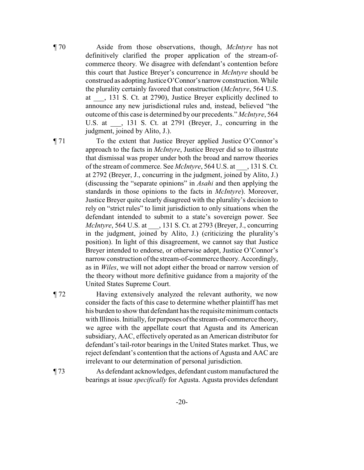¶ 70 Aside from those observations, though, *McIntyre* has not definitively clarified the proper application of the stream-ofcommerce theory. We disagree with defendant's contention before this court that Justice Breyer's concurrence in *McIntyre* should be construed as adopting JusticeO'Connor's narrow construction. While the plurality certainly favored that construction (*McIntyre*, 564 U.S. at \_\_\_, 131 S. Ct. at 2790), Justice Breyer explicitly declined to announce any new jurisdictional rules and, instead, believed "the outcome of this case is determined by our precedents." *McIntyre*, 564 U.S. at  $\ldots$ , 131 S. Ct. at 2791 (Breyer, J., concurring in the judgment, joined by Alito, J.).

¶ 71 To the extent that Justice Breyer applied Justice O'Connor's approach to the facts in *McIntyre*, Justice Breyer did so to illustrate that dismissal was proper under both the broad and narrow theories of the stream of commerce. See *McIntyre*, 564 U.S. at \_\_\_, 131 S. Ct. at 2792 (Breyer, J., concurring in the judgment, joined by Alito, J.) (discussing the "separate opinions" in *Asahi* and then applying the standards in those opinions to the facts in *McIntyre*). Moreover, Justice Breyer quite clearly disagreed with the plurality's decision to rely on "strict rules" to limit jurisdiction to only situations when the defendant intended to submit to a state's sovereign power. See *McIntyre*, 564 U.S. at \_\_\_, 131 S. Ct. at 2793 (Breyer, J., concurring in the judgment, joined by Alito, J.) (criticizing the plurality's position). In light of this disagreement, we cannot say that Justice Breyer intended to endorse, or otherwise adopt, Justice O'Connor's narrow construction of the stream-of-commerce theory. Accordingly, as in *Wiles*, we will not adopt either the broad or narrow version of the theory without more definitive guidance from a majority of the United States Supreme Court.

¶ 72 Having extensively analyzed the relevant authority, we now consider the facts of this case to determine whether plaintiff has met his burden to show that defendant has the requisite minimum contacts with Illinois. Initially, for purposes of the stream-of-commerce theory, we agree with the appellate court that Agusta and its American subsidiary, AAC, effectively operated as an American distributor for defendant's tail-rotor bearings in the United States market. Thus, we reject defendant's contention that the actions of Agusta and AAC are irrelevant to our determination of personal jurisdiction.

¶ 73 As defendant acknowledges, defendant custom manufactured the bearings at issue *specifically* for Agusta. Agusta provides defendant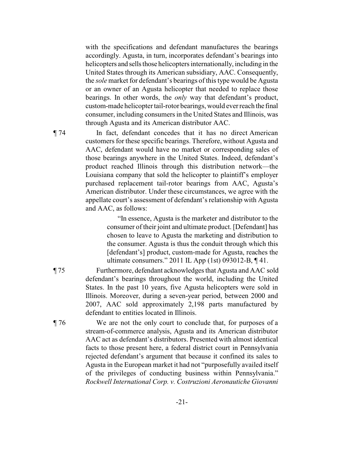with the specifications and defendant manufactures the bearings accordingly. Agusta, in turn, incorporates defendant's bearings into helicopters and sells those helicopters internationally, including in the United States through its American subsidiary, AAC. Consequently, the *sole* market for defendant's bearings of this type would be Agusta or an owner of an Agusta helicopter that needed to replace those bearings. In other words, the *only* way that defendant's product, custom-made helicopter tail-rotor bearings, would ever reach the final consumer, including consumers in the United States and Illinois, was through Agusta and its American distributor AAC.

¶ 74 In fact, defendant concedes that it has no direct American customers for these specific bearings. Therefore, without Agusta and AAC, defendant would have no market or corresponding sales of those bearings anywhere in the United States. Indeed, defendant's product reached Illinois through this distribution network—the Louisiana company that sold the helicopter to plaintiff's employer purchased replacement tail-rotor bearings from AAC, Agusta's American distributor. Under these circumstances, we agree with the appellate court's assessment of defendant's relationship with Agusta and AAC, as follows:

> "In essence, Agusta is the marketer and distributor to the consumer of their joint and ultimate product. [Defendant] has chosen to leave to Agusta the marketing and distribution to the consumer. Agusta is thus the conduit through which this [defendant's] product, custom-made for Agusta, reaches the ultimate consumers." 2011 IL App (1st) 093012-B, ¶ 41.

- ¶ 75 Furthermore, defendant acknowledges that Agusta and AAC sold defendant's bearings throughout the world, including the United States. In the past 10 years, five Agusta helicopters were sold in Illinois. Moreover, during a seven-year period, between 2000 and 2007, AAC sold approximately 2,198 parts manufactured by defendant to entities located in Illinois.
- ¶ 76 We are not the only court to conclude that, for purposes of a stream-of-commerce analysis, Agusta and its American distributor AAC act as defendant's distributors. Presented with almost identical facts to those present here, a federal district court in Pennsylvania rejected defendant's argument that because it confined its sales to Agusta in the European market it had not "purposefully availed itself of the privileges of conducting business within Pennsylvania." *Rockwell International Corp. v. Costruzioni Aeronautiche Giovanni*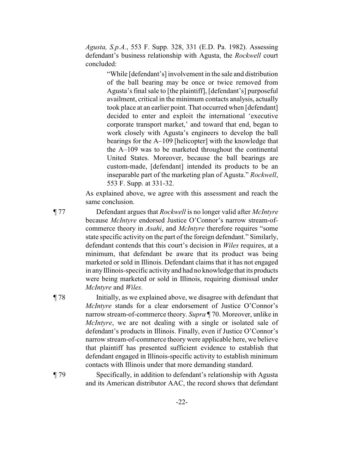*Agusta, S.p.A.*, 553 F. Supp. 328, 331 (E.D. Pa. 1982). Assessing defendant's business relationship with Agusta, the *Rockwell* court concluded:

> "While [defendant's] involvement in the sale and distribution of the ball bearing may be once or twice removed from Agusta's final sale to [the plaintiff], [defendant's] purposeful availment, critical in the minimum contacts analysis, actually took place at an earlier point. That occurred when [defendant] decided to enter and exploit the international 'executive corporate transport market,' and toward that end, began to work closely with Agusta's engineers to develop the ball bearings for the A–109 [helicopter] with the knowledge that the A–109 was to be marketed throughout the continental United States. Moreover, because the ball bearings are custom-made, [defendant] intended its products to be an inseparable part of the marketing plan of Agusta." *Rockwell*, 553 F. Supp. at 331-32.

As explained above, we agree with this assessment and reach the same conclusion.

- ¶ 77 Defendant argues that *Rockwell* is no longer valid after *McIntyre* because *McIntyre* endorsed Justice O'Connor's narrow stream-ofcommerce theory in *Asahi*, and *McIntyre* therefore requires "some state specific activity on the part of the foreign defendant." Similarly, defendant contends that this court's decision in *Wiles* requires, at a minimum, that defendant be aware that its product was being marketed or sold in Illinois. Defendant claims that it has not engaged in anyIllinois-specific activityand had no knowledge that its products were being marketed or sold in Illinois, requiring dismissal under *McIntyre* and *Wiles*.
- ¶ 78 Initially, as we explained above, we disagree with defendant that *McIntyre* stands for a clear endorsement of Justice O'Connor's narrow stream-of-commerce theory. *Supra* ¶ 70. Moreover, unlike in *McIntyre*, we are not dealing with a single or isolated sale of defendant's products in Illinois. Finally, even if Justice O'Connor's narrow stream-of-commerce theory were applicable here, we believe that plaintiff has presented sufficient evidence to establish that defendant engaged in Illinois-specific activity to establish minimum contacts with Illinois under that more demanding standard.
- ¶ 79 Specifically, in addition to defendant's relationship with Agusta and its American distributor AAC, the record shows that defendant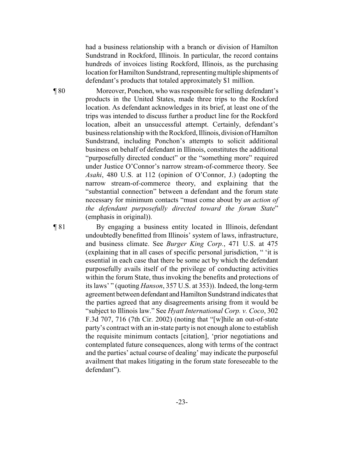had a business relationship with a branch or division of Hamilton Sundstrand in Rockford, Illinois. In particular, the record contains hundreds of invoices listing Rockford, Illinois, as the purchasing location for Hamilton Sundstrand, representing multiple shipments of defendant's products that totaled approximately \$1 million.

¶ 80 Moreover, Ponchon, who was responsible for selling defendant's products in the United States, made three trips to the Rockford location. As defendant acknowledges in its brief, at least one of the trips was intended to discuss further a product line for the Rockford location, albeit an unsuccessful attempt. Certainly, defendant's business relationship with the Rockford, Illinois, division ofHamilton Sundstrand, including Ponchon's attempts to solicit additional business on behalf of defendant in Illinois, constitutes the additional "purposefully directed conduct" or the "something more" required under Justice O'Connor's narrow stream-of-commerce theory. See *Asahi*, 480 U.S. at 112 (opinion of O'Connor, J.) (adopting the narrow stream-of-commerce theory, and explaining that the "substantial connection" between a defendant and the forum state necessary for minimum contacts "must come about by *an action of the defendant purposefully directed toward the forum State*" (emphasis in original)).

¶ 81 By engaging a business entity located in Illinois, defendant undoubtedly benefitted from Illinois' system of laws, infrastructure, and business climate. See *Burger King Corp.*, 471 U.S. at 475 (explaining that in all cases of specific personal jurisdiction, " 'it is essential in each case that there be some act by which the defendant purposefully avails itself of the privilege of conducting activities within the forum State, thus invoking the benefits and protections of its laws' " (quoting *Hanson*, 357 U.S. at 353)). Indeed, the long-term agreement between defendant and Hamilton Sundstrand indicates that the parties agreed that any disagreements arising from it would be "subject to Illinois law." See *Hyatt International Corp. v. Coco*, 302 F.3d 707, 716 (7th Cir. 2002) (noting that "[w]hile an out-of-state party's contract with an in-state party is not enough alone to establish the requisite minimum contacts [citation], 'prior negotiations and contemplated future consequences, along with terms of the contract and the parties' actual course of dealing' may indicate the purposeful availment that makes litigating in the forum state foreseeable to the defendant").

-23-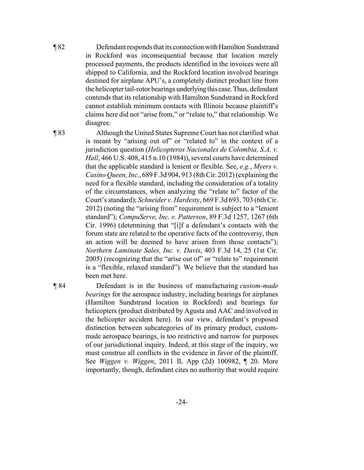¶ 82 Defendant responds that its connection withHamilton Sundstrand in Rockford was inconsequential because that location merely processed payments, the products identified in the invoices were all shipped to California, and the Rockford location involved bearings destined for airplane APU's, a completely distinct product line from the helicoptertail-rotor bearings underlyingthis case.Thus, defendant contends that its relationship with Hamilton Sundstrand in Rockford cannot establish minimum contacts with Illinois because plaintiff's claims here did not "arise from," or "relate to," that relationship. We disagree.

¶ 83 Although the United States Supreme Court has not clarified what is meant by "arising out of" or "related to" in the context of a jurisdiction question (*Helicopteros Nacionales de Colombia, S.A. v. Hall*, 466 U.S. 408, 415 n.10 (1984)), several courts have determined that the applicable standard is lenient or flexible. See, *e.g.*, *Myers v. Casino Queen, Inc.*, 689 F.3d 904, 913 (8th Cir. 2012) (explaining the need for a flexible standard, including the consideration of a totality of the circumstances, when analyzing the "relate to" factor of the Court's standard); *Schneider v. Hardesty*, 669 F.3d 693, 703 (6th Cir. 2012) (noting the "arising from" requirement is subject to a "lenient standard"); *CompuServe, Inc. v. Patterson*, 89 F.3d 1257, 1267 (6th Cir. 1996) (determining that "[i]f a defendant's contacts with the forum state are related to the operative facts of the controversy, then an action will be deemed to have arisen from those contacts"); *Northern Laminate Sales, Inc. v. Davis*, 403 F.3d 14, 25 (1st Cir. 2005) (recognizing that the "arise out of" or "relate to" requirement is a "flexible, relaxed standard"). We believe that the standard has been met here.

¶ 84 Defendant is in the business of manufacturing *custom-made bearings* for the aerospace industry, including bearings for airplanes (Hamilton Sundstrand location in Rockford) and bearings for helicopters (product distributed by Agusta and AAC and involved in the helicopter accident here). In our view, defendant's proposed distinction between subcategories of its primary product, custommade aerospace bearings, is too restrictive and narrow for purposes of our jurisdictional inquiry. Indeed, at this stage of the inquiry, we must construe all conflicts in the evidence in favor of the plaintiff. See *Wiggen v. Wiggen*, 2011 IL App (2d) 100982, ¶ 20. More importantly, though, defendant cites no authority that would require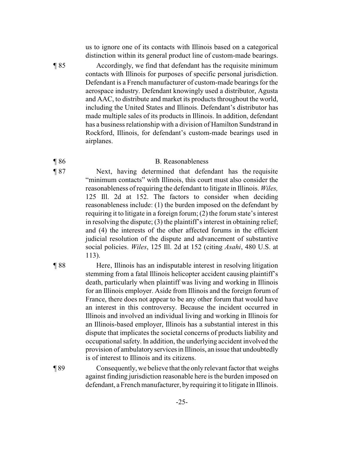us to ignore one of its contacts with Illinois based on a categorical distinction within its general product line of custom-made bearings.

¶ 85 Accordingly, we find that defendant has the requisite minimum contacts with Illinois for purposes of specific personal jurisdiction. Defendant is a French manufacturer of custom-made bearings for the aerospace industry. Defendant knowingly used a distributor, Agusta and AAC, to distribute and market its products throughout the world, including the United States and Illinois. Defendant's distributor has made multiple sales of its products in Illinois. In addition, defendant has a business relationship with a division of Hamilton Sundstrand in Rockford, Illinois, for defendant's custom-made bearings used in airplanes.

### ¶ 86 B. Reasonableness

- ¶ 87 Next, having determined that defendant has the requisite "minimum contacts" with Illinois, this court must also consider the reasonableness of requiring the defendant to litigate in Illinois. *Wiles,* 125 Ill. 2d at 152. The factors to consider when deciding reasonableness include: (1) the burden imposed on the defendant by requiring it to litigate in a foreign forum; (2) the forum state's interest in resolving the dispute; (3) the plaintiff's interest in obtaining relief; and (4) the interests of the other affected forums in the efficient judicial resolution of the dispute and advancement of substantive social policies. *Wiles*, 125 Ill. 2d at 152 (citing *Asahi*, 480 U.S. at 113).
- ¶ 88 Here, Illinois has an indisputable interest in resolving litigation stemming from a fatal Illinois helicopter accident causing plaintiff's death, particularly when plaintiff was living and working in Illinois for an Illinois employer. Aside from Illinois and the foreign forum of France, there does not appear to be any other forum that would have an interest in this controversy. Because the incident occurred in Illinois and involved an individual living and working in Illinois for an Illinois-based employer, Illinois has a substantial interest in this dispute that implicates the societal concerns of products liability and occupational safety. In addition, the underlying accident involved the provision of ambulatory services in Illinois, an issue that undoubtedly is of interest to Illinois and its citizens.
- ¶ 89 Consequently, we believe that the only relevant factor that weighs against finding jurisdiction reasonable here is the burden imposed on defendant, a French manufacturer, byrequiring it to litigate in Illinois.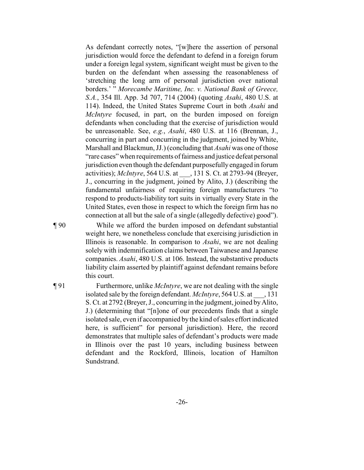As defendant correctly notes, "[w]here the assertion of personal jurisdiction would force the defendant to defend in a foreign forum under a foreign legal system, significant weight must be given to the burden on the defendant when assessing the reasonableness of 'stretching the long arm of personal jurisdiction over national borders.' " *Morecambe Maritime, Inc. v. National Bank of Greece, S.A.*, 354 Ill. App. 3d 707, 714 (2004) (quoting *Asahi*, 480 U.S. at 114). Indeed, the United States Supreme Court in both *Asahi* and *McIntyre* focused, in part, on the burden imposed on foreign defendants when concluding that the exercise of jurisdiction would be unreasonable. See, *e.g.*, *Asahi*, 480 U.S. at 116 (Brennan, J., concurring in part and concurring in the judgment, joined by White, Marshall and Blackmun, JJ.) (concluding that *Asahi* was one of those "rare cases" when requirements of fairness and justice defeat personal jurisdiction even though the defendant purposefullyengaged in forum activities); *McIntyre*, 564 U.S. at \_\_\_, 131 S. Ct. at 2793-94 (Breyer, J., concurring in the judgment, joined by Alito, J.) (describing the fundamental unfairness of requiring foreign manufacturers "to respond to products-liability tort suits in virtually every State in the United States, even those in respect to which the foreign firm has no connection at all but the sale of a single (allegedly defective) good").

¶ 90 While we afford the burden imposed on defendant substantial weight here, we nonetheless conclude that exercising jurisdiction in Illinois is reasonable. In comparison to *Asahi*, we are not dealing solely with indemnification claims between Taiwanese and Japanese companies. *Asahi*, 480 U.S. at 106. Instead, the substantive products liability claim asserted by plaintiff against defendant remains before this court.

¶ 91 Furthermore, unlike *McIntyre*, we are not dealing with the single isolated sale by the foreign defendant. *McIntyre*, 564 U.S. at \_\_\_, 131 S. Ct. at 2792 (Breyer, J., concurring in the judgment, joined byAlito, J.) (determining that "[n]one of our precedents finds that a single isolated sale, even if accompanied by the kind of sales effort indicated here, is sufficient" for personal jurisdiction). Here, the record demonstrates that multiple sales of defendant's products were made in Illinois over the past 10 years, including business between defendant and the Rockford, Illinois, location of Hamilton Sundstrand.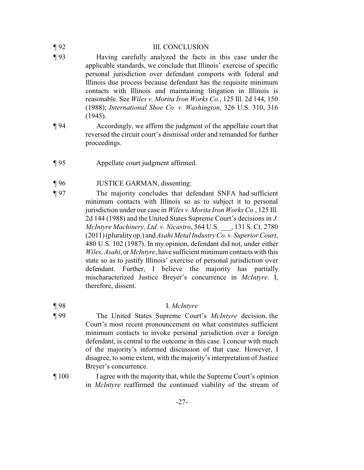| $\P$ 92 | <b>III. CONCLUSION</b>                                                                                                                                                                                                                                                                                                                                                                                                                                                                              |
|---------|-----------------------------------------------------------------------------------------------------------------------------------------------------------------------------------------------------------------------------------------------------------------------------------------------------------------------------------------------------------------------------------------------------------------------------------------------------------------------------------------------------|
| $\P$ 93 | Having carefully analyzed the facts in this case under the<br>applicable standards, we conclude that Illinois' exercise of specific<br>personal jurisdiction over defendant comports with federal and<br>Illinois due process because defendant has the requisite minimum<br>contacts with Illinois and maintaining litigation in Illinois is<br>reasonable. See Wiles v. Morita Iron Works Co., 125 Ill. 2d 144, 150<br>(1988); International Shoe Co. v. Washington, 326 U.S. 310, 316<br>(1945). |
| $\P$ 94 | Accordingly, we affirm the judgment of the appellate court that<br>reversed the circuit court's dismissal order and remanded for further<br>proceedings.                                                                                                                                                                                                                                                                                                                                            |
| $\P$ 95 | Appellate court judgment affirmed.                                                                                                                                                                                                                                                                                                                                                                                                                                                                  |
| $\P$ 96 | <b>JUSTICE GARMAN</b> , dissenting:                                                                                                                                                                                                                                                                                                                                                                                                                                                                 |
| $\P$ 97 | The majority concludes that defendant SNFA had sufficient<br>minimum contacts with Illinois so as to subject it to personal                                                                                                                                                                                                                                                                                                                                                                         |

minimum contacts with Illinois so as to subject it to personal jurisdiction under our case in *Wiles v. Morita Iron Works Co.*, 125 Ill. 2d 144 (1988) and the United States Supreme Court's decisions in *J. McIntyre Machinery, Ltd. v. Nicastro*, 564 U.S. \_\_\_, 131 S. Ct. 2780 (2011) (pluralityop.) and *Asahi Metal Industry Co. v. Superior Court*, 480 U.S. 102 (1987). In my opinion, defendant did not, under either *Wiles, Asahi*, or*McIntyre*, have sufficient minimum contacts with this state so as to justify Illinois' exercise of personal jurisdiction over defendant. Further, I believe the majority has partially mischaracterized Justice Breyer's concurrence in *McIntyre*. I, therefore, dissent.

## ¶ 98 I. *McIntyre*

- ¶ 99 The United States Supreme Court's *McIntyre* decision, the Court's most recent pronouncement on what constitutes sufficient minimum contacts to invoke personal jurisdiction over a foreign defendant, is central to the outcome in this case. I concur with much of the majority's informed discussion of that case. However, I disagree, to some extent, with the majority's interpretation of Justice Breyer's concurrence.
- ¶ 100 I agree with the majority that, while the Supreme Court's opinion in *McIntyre* reaffirmed the continued viability of the stream of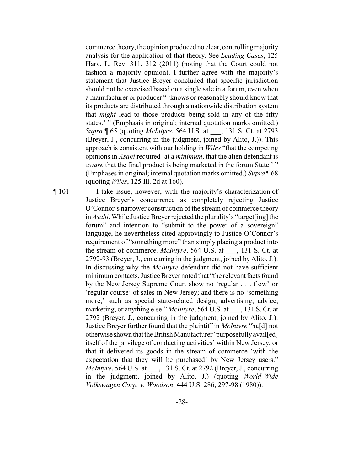commerce theory, the opinion produced no clear, controllingmajority analysis for the application of that theory. See *Leading Cases*, 125 Harv. L. Rev. 311, 312 (2011) (noting that the Court could not fashion a majority opinion). I further agree with the majority's statement that Justice Breyer concluded that specific jurisdiction should not be exercised based on a single sale in a forum, even when a manufacturer or producer " 'knows or reasonably should know that its products are distributed through a nationwide distribution system that *might* lead to those products being sold in any of the fifty states.' " (Emphasis in original; internal quotation marks omitted.) *Supra* ¶ 65 (quoting *McIntyre*, 564 U.S. at \_\_\_, 131 S. Ct. at 2793 (Breyer, J., concurring in the judgment, joined by Alito, J.)). This approach is consistent with our holding in *Wiles* "that the competing opinions in *Asahi* required 'at a *minimum*, that the alien defendant is *aware* that the final product is being marketed in the forum State.' " (Emphases in original; internal quotation marks omitted.) *Supra* ¶ 68 (quoting *Wiles*, 125 Ill. 2d at 160).

¶ 101 I take issue, however, with the majority's characterization of Justice Breyer's concurrence as completely rejecting Justice O'Connor's narrower construction of the stream of commerce theory in *Asahi*. While Justice Breyer rejected the plurality's "target[ing] the forum" and intention to "submit to the power of a sovereign" language, he nevertheless cited approvingly to Justice O'Connor's requirement of "something more" than simply placing a product into the stream of commerce. *McIntyre*, 564 U.S. at \_\_\_, 131 S. Ct. at 2792-93 (Breyer, J., concurring in the judgment, joined by Alito, J.). In discussing why the *McIntyre* defendant did not have sufficient minimumcontacts, Justice Breyer noted that "the relevant facts found by the New Jersey Supreme Court show no 'regular . . . flow' or 'regular course' of sales in New Jersey; and there is no 'something more,' such as special state-related design, advertising, advice, marketing, or anything else." *McIntyre*, 564 U.S. at  $\qquad$ , 131 S. Ct. at 2792 (Breyer, J., concurring in the judgment, joined by Alito, J.). Justice Breyer further found that the plaintiff in *McIntyre* "ha[d] not otherwise shown that the British Manufacturer 'purposefully avail[ed] itself of the privilege of conducting activities' within New Jersey, or that it delivered its goods in the stream of commerce 'with the expectation that they will be purchased' by New Jersey users." *McIntyre*, 564 U.S. at \_\_\_, 131 S. Ct. at 2792 (Breyer, J., concurring in the judgment, joined by Alito, J.) (quoting *World-Wide Volkswagen Corp. v. Woodson*, 444 U.S. 286, 297-98 (1980)).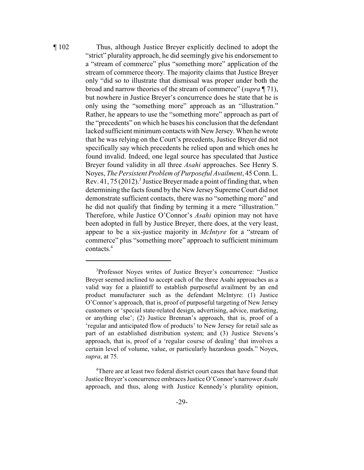¶ 102 Thus, although Justice Breyer explicitly declined to adopt the "strict" plurality approach, he did seemingly give his endorsement to a "stream of commerce" plus "something more" application of the stream of commerce theory. The majority claims that Justice Breyer only "did so to illustrate that dismissal was proper under both the broad and narrow theories of the stream of commerce" (*supra* ¶ 71), but nowhere in Justice Breyer's concurrence does he state that he is only using the "something more" approach as an "illustration." Rather, he appears to use the "something more" approach as part of the "precedents" on which he bases his conclusion that the defendant lacked sufficient minimum contacts with New Jersey. When he wrote that he was relying on the Court's precedents, Justice Breyer did not specifically say which precedents he relied upon and which ones he found invalid. Indeed, one legal source has speculated that Justice Breyer found validity in all three *Asahi* approaches. See Henry S. Noyes, *The Persistent Problem of Purposeful Availment*, 45 Conn. L. Rev. 41, 75 (2012).<sup>3</sup> Justice Breyer made a point of finding that, when determining the facts found by the New Jersey Supreme Court did not demonstrate sufficient contacts, there was no "something more" and he did not qualify that finding by terming it a mere "illustration." Therefore, while Justice O'Connor's *Asahi* opinion may not have been adopted in full by Justice Breyer, there does, at the very least, appear to be a six-justice majority in *McIntyre* for a "stream of commerce" plus "something more" approach to sufficient minimum contacts.<sup>4</sup>

<sup>&</sup>lt;sup>3</sup>Professor Noyes writes of Justice Breyer's concurrence: "Justice Breyer seemed inclined to accept each of the three Asahi approaches as a valid way for a plaintiff to establish purposeful availment by an end product manufacturer such as the defendant McIntyre: (1) Justice O'Connor's approach, that is, proof of purposeful targeting of New Jersey customers or 'special state-related design, advertising, advice, marketing, or anything else'; (2) Justice Brennan's approach, that is, proof of a 'regular and anticipated flow of products' to New Jersey for retail sale as part of an established distribution system; and (3) Justice Stevens's approach, that is, proof of a 'regular course of dealing' that involves a certain level of volume, value, or particularly hazardous goods." Noyes, *supra*, at 75.

<sup>&</sup>lt;sup>4</sup>There are at least two federal district court cases that have found that Justice Breyer's concurrence embraces Justice O'Connor's narrower *Asahi* approach, and thus, along with Justice Kennedy's plurality opinion,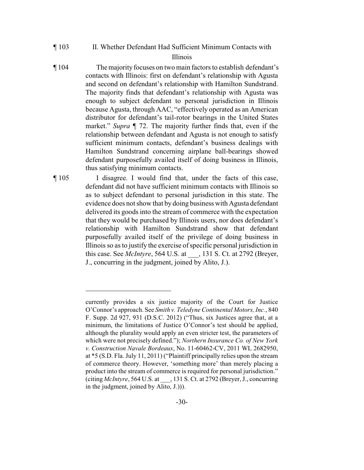¶ 103 II. Whether Defendant Had Sufficient Minimum Contacts with

## Illinois

¶ 104 The majority focuses on two main factors to establish defendant's contacts with Illinois: first on defendant's relationship with Agusta and second on defendant's relationship with Hamilton Sundstrand. The majority finds that defendant's relationship with Agusta was enough to subject defendant to personal jurisdiction in Illinois because Agusta, through AAC, "effectively operated as an American distributor for defendant's tail-rotor bearings in the United States market." *Supra* ¶ 72. The majority further finds that, even if the relationship between defendant and Agusta is not enough to satisfy sufficient minimum contacts, defendant's business dealings with Hamilton Sundstrand concerning airplane ball-bearings showed defendant purposefully availed itself of doing business in Illinois, thus satisfying minimum contacts.

¶ 105 I disagree. I would find that, under the facts of this case, defendant did not have sufficient minimum contacts with Illinois so as to subject defendant to personal jurisdiction in this state. The evidence does not show that by doing business with Agusta defendant delivered its goods into the stream of commerce with the expectation that they would be purchased by Illinois users, nor does defendant's relationship with Hamilton Sundstrand show that defendant purposefully availed itself of the privilege of doing business in Illinoisso as to justify the exercise of specific personal jurisdiction in this case. See *McIntyre*, 564 U.S. at \_\_\_, 131 S. Ct. at 2792 (Breyer, J., concurring in the judgment, joined by Alito, J.).

currently provides a six justice majority of the Court for Justice O'Connor's approach. See *Smith v. Teledyne Continental Motors, Inc.*, 840 F. Supp. 2d 927, 931 (D.S.C. 2012) ("Thus, six Justices agree that, at a minimum, the limitations of Justice O'Connor's test should be applied, although the plurality would apply an even stricter test, the parameters of which were not precisely defined."); *Northern Insurance Co. of New York v. Construction Navale Bordeaux*, No. 11-60462-CV, 2011 WL 2682950, at \*5 (S.D. Fla. July 11, 2011) ("Plaintiff principally relies upon the stream of commerce theory. However, 'something more' than merely placing a product into the stream of commerce is required for personal jurisdiction." (citing *McIntyre*, 564 U.S. at \_\_\_, 131 S. Ct. at 2792 (Breyer, J., concurring in the judgment, joined by Alito, J.))).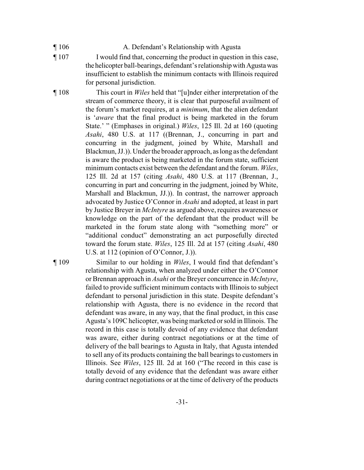- ¶ 106 A. Defendant's Relationship with Agusta
- ¶ 107 I would find that, concerning the product in question in this case, the helicopter ball-bearings, defendant's relationship with Agusta was insufficient to establish the minimum contacts with Illinois required for personal jurisdiction.

¶ 108 This court in *Wiles* held that "[u]nder either interpretation of the stream of commerce theory, it is clear that purposeful availment of the forum's market requires, at a *minimum*, that the alien defendant is '*aware* that the final product is being marketed in the forum State.' " (Emphases in original.) *Wiles*, 125 Ill. 2d at 160 (quoting *Asahi*, 480 U.S. at 117 ((Brennan, J., concurring in part and concurring in the judgment, joined by White, Marshall and Blackmun, JJ.)). Underthe broader approach, aslong as the defendant is aware the product is being marketed in the forum state, sufficient minimum contacts exist between the defendant and the forum. *Wiles*, 125 Ill. 2d at 157 (citing *Asahi*, 480 U.S. at 117 (Brennan, J., concurring in part and concurring in the judgment, joined by White, Marshall and Blackmun, JJ.)). In contrast, the narrower approach advocated by Justice O'Connor in *Asahi* and adopted, at least in part by Justice Breyer in *McIntyre* as argued above, requires awareness or knowledge on the part of the defendant that the product will be marketed in the forum state along with "something more" or "additional conduct" demonstrating an act purposefully directed toward the forum state. *Wiles*, 125 Ill. 2d at 157 (citing *Asahi*, 480 U.S. at 112 (opinion of O'Connor, J.)).

¶ 109 Similar to our holding in *Wiles*, I would find that defendant's relationship with Agusta, when analyzed under either the O'Connor or Brennan approach in *Asahi* or the Breyer concurrence in *McIntyre*, failed to provide sufficient minimum contacts with Illinois to subject defendant to personal jurisdiction in this state. Despite defendant's relationship with Agusta, there is no evidence in the record that defendant was aware, in any way, that the final product, in this case Agusta's 109C helicopter, was beingmarketed or sold in Illinois. The record in this case is totally devoid of any evidence that defendant was aware, either during contract negotiations or at the time of delivery of the ball bearings to Agusta in Italy, that Agusta intended to sell any of its products containing the ball bearings to customers in Illinois. See *Wiles*, 125 Ill. 2d at 160 ("The record in this case is totally devoid of any evidence that the defendant was aware either during contract negotiations or at the time of delivery of the products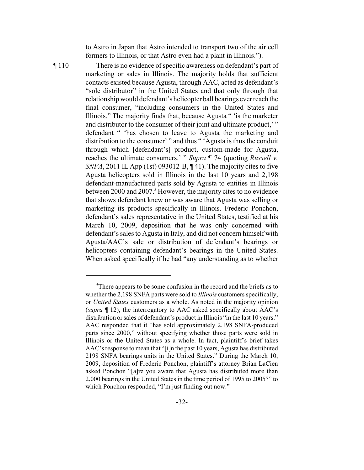to Astro in Japan that Astro intended to transport two of the air cell formers to Illinois, or that Astro even had a plant in Illinois.").

¶ 110 There is no evidence of specific awareness on defendant's part of marketing or sales in Illinois. The majority holds that sufficient contacts existed because Agusta, through AAC, acted as defendant's "sole distributor" in the United States and that only through that relationship would defendant's helicopter ball bearings everreach the final consumer, "including consumers in the United States and Illinois." The majority finds that, because Agusta " 'is the marketer and distributor to the consumer of their joint and ultimate product,'" defendant " 'has chosen to leave to Agusta the marketing and distribution to the consumer' " and thus " 'Agusta is thus the conduit through which [defendant's] product, custom-made for Agusta, reaches the ultimate consumers.' " *Supra* ¶ 74 (quoting *Russell v. SNFA*, 2011 IL App (1st) 093012-B, ¶ 41). The majority cites to five Agusta helicopters sold in Illinois in the last 10 years and 2,198 defendant-manufactured parts sold by Agusta to entities in Illinois between 2000 and 2007.<sup>5</sup> However, the majority cites to no evidence that shows defendant knew or was aware that Agusta was selling or marketing its products specifically in Illinois. Frederic Ponchon, defendant's sales representative in the United States, testified at his March 10, 2009, deposition that he was only concerned with defendant's sales to Agusta in Italy, and did not concern himself with Agusta/AAC's sale or distribution of defendant's bearings or helicopters containing defendant's bearings in the United States. When asked specifically if he had "any understanding as to whether

 ${}^{5}$ There appears to be some confusion in the record and the briefs as to whether the 2,198 SNFA parts were sold to *Illinois* customers specifically, or *United States* customers as a whole. As noted in the majority opinion (*supra* ¶ 12), the interrogatory to AAC asked specifically about AAC's distribution or sales of defendant's product in Illinois "in the last 10 years." AAC responded that it "has sold approximately 2,198 SNFA-produced parts since 2000," without specifying whether those parts were sold in Illinois or the United States as a whole. In fact, plaintiff's brief takes AAC's response to mean that "[i]n the past 10 years, Agusta has distributed 2198 SNFA bearings units in the United States." During the March 10, 2009, deposition of Frederic Ponchon, plaintiff's attorney Brian LaCien asked Ponchon "[a]re you aware that Agusta has distributed more than 2,000 bearings in the United States in the time period of 1995 to 2005?" to which Ponchon responded, "I'm just finding out now."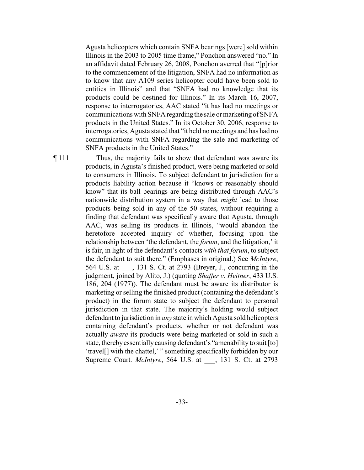Agusta helicopters which contain SNFA bearings [were] sold within Illinois in the 2003 to 2005 time frame," Ponchon answered "no." In an affidavit dated February 26, 2008, Ponchon averred that "[p]rior to the commencement of the litigation, SNFA had no information as to know that any A109 series helicopter could have been sold to entities in Illinois" and that "SNFA had no knowledge that its products could be destined for Illinois." In its March 16, 2007, response to interrogatories, AAC stated "it has had no meetings or communications with SNFA regarding the sale or marketing of SNFA products in the United States." In its October 30, 2006, response to interrogatories, Agusta stated that "it held no meetings and has had no communications with SNFA regarding the sale and marketing of SNFA products in the United States."

¶ 111 Thus, the majority fails to show that defendant was aware its products, in Agusta's finished product, were being marketed or sold to consumers in Illinois. To subject defendant to jurisdiction for a products liability action because it "knows or reasonably should know" that its ball bearings are being distributed through AAC's nationwide distribution system in a way that *might* lead to those products being sold in any of the 50 states, without requiring a finding that defendant was specifically aware that Agusta, through AAC, was selling its products in Illinois, "would abandon the heretofore accepted inquiry of whether, focusing upon the relationship between 'the defendant, the *forum*, and the litigation,' it is fair, in light of the defendant's contacts *with that forum*, to subject the defendant to suit there." (Emphases in original.) See *McIntyre*, 564 U.S. at \_\_\_, 131 S. Ct. at 2793 (Breyer, J., concurring in the judgment, joined by Alito, J.) (quoting *Shaffer v. Heitner*, 433 U.S. 186, 204 (1977)). The defendant must be aware its distributor is marketing or selling the finished product (containing the defendant's product) in the forum state to subject the defendant to personal jurisdiction in that state. The majority's holding would subject defendant to jurisdiction in *any* state in which Agusta sold helicopters containing defendant's products, whether or not defendant was actually *aware* its products were being marketed or sold in such a state, thereby essentially causing defendant's "amenability to suit [to] 'travel[] with the chattel,' " something specifically forbidden by our Supreme Court. *McIntyre*, 564 U.S. at \_\_\_, 131 S. Ct. at 2793

-33-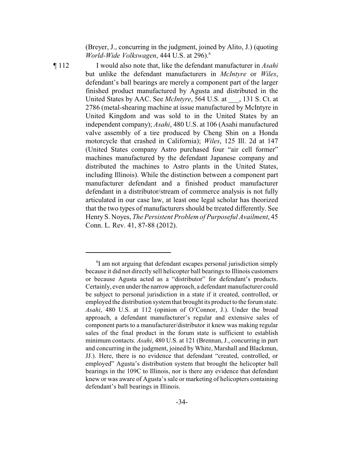(Breyer, J., concurring in the judgment, joined by Alito, J.) (quoting *World-Wide Volkswagen*, 444 U.S. at 296).<sup>6</sup>

¶ 112 I would also note that, like the defendant manufacturer in *Asahi* but unlike the defendant manufacturers in *McIntyre* or *Wiles*, defendant's ball bearings are merely a component part of the larger finished product manufactured by Agusta and distributed in the United States by AAC. See *McIntyre*, 564 U.S. at \_\_\_, 131 S. Ct. at 2786 (metal-shearing machine at issue manufactured by McIntyre in United Kingdom and was sold to in the United States by an independent company); *Asahi*, 480 U.S. at 106 (Asahi manufactured valve assembly of a tire produced by Cheng Shin on a Honda motorcycle that crashed in California); *Wiles*, 125 Ill. 2d at 147 (United States company Astro purchased four "air cell former" machines manufactured by the defendant Japanese company and distributed the machines to Astro plants in the United States, including Illinois). While the distinction between a component part manufacturer defendant and a finished product manufacturer defendant in a distributor/stream of commerce analysis is not fully articulated in our case law, at least one legal scholar has theorized that the two types of manufacturers should be treated differently. See Henry S. Noyes, *The Persistent Problem of Purposeful Availment*, 45 Conn. L. Rev. 41, 87-88 (2012).

 $\mathrm{I}$  am not arguing that defendant escapes personal jurisdiction simply because it did not directly sell helicopter ball bearings to Illinois customers or because Agusta acted as a "distributor" for defendant's products. Certainly, even under the narrow approach, a defendant manufacturer could be subject to personal jurisdiction in a state if it created, controlled, or employed the distribution systemthat brought its product to the forumstate. *Asahi*, 480 U.S. at 112 (opinion of O'Connor, J.). Under the broad approach, a defendant manufacturer's regular and extensive sales of component parts to a manufacturer/distributor it knew was making regular sales of the final product in the forum state is sufficient to establish minimum contacts. *Asahi*, 480 U.S. at 121 (Brennan, J., concurring in part and concurring in the judgment, joined by White, Marshall and Blackmun, JJ.). Here, there is no evidence that defendant "created, controlled, or employed" Agusta's distribution system that brought the helicopter ball bearings in the 109C to Illinois, nor is there any evidence that defendant knew or was aware of Agusta's sale or marketing of helicopters containing defendant's ball bearings in Illinois.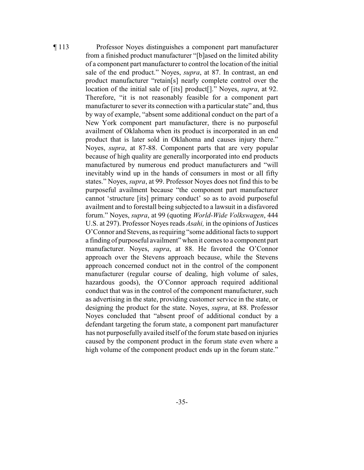¶ 113 Professor Noyes distinguishes a component part manufacturer from a finished product manufacturer "[b]ased on the limited ability of a component part manufacturer to control the location of the initial sale of the end product." Noyes, *supra*, at 87. In contrast, an end product manufacturer "retain[s] nearly complete control over the location of the initial sale of [its] product[]." Noyes, *supra*, at 92. Therefore, "it is not reasonably feasible for a component part manufacturer to sever its connection with a particular state" and, thus by way of example, "absent some additional conduct on the part of a New York component part manufacturer, there is no purposeful availment of Oklahoma when its product is incorporated in an end product that is later sold in Oklahoma and causes injury there." Noyes, *supra*, at 87-88. Component parts that are very popular because of high quality are generally incorporated into end products manufactured by numerous end product manufacturers and "will inevitably wind up in the hands of consumers in most or all fifty states." Noyes, *supra*, at 99. Professor Noyes does not find this to be purposeful availment because "the component part manufacturer cannot 'structure [its] primary conduct' so as to avoid purposeful availment and to forestall being subjected to a lawsuit in a disfavored forum." Noyes, *supra*, at 99 (quoting *World-Wide Volkswagen*, 444 U.S. at 297). Professor Noyes reads *Asahi,* in the opinions of Justices O'Connor and Stevens, as requiring "some additional facts to support a finding of purposeful availment" when it comes to a component part manufacturer. Noyes, *supra*, at 88. He favored the O'Connor approach over the Stevens approach because, while the Stevens approach concerned conduct not in the control of the component manufacturer (regular course of dealing, high volume of sales, hazardous goods), the O'Connor approach required additional conduct that was in the control of the component manufacturer, such as advertising in the state, providing customer service in the state, or designing the product for the state. Noyes, *supra*, at 88. Professor Noyes concluded that "absent proof of additional conduct by a defendant targeting the forum state, a component part manufacturer has not purposefully availed itself of the forum state based on injuries caused by the component product in the forum state even where a high volume of the component product ends up in the forum state."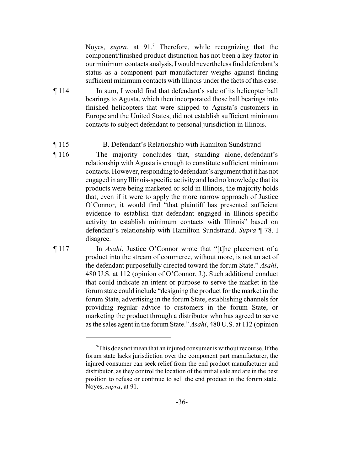Noyes, *supra*, at 91.<sup>7</sup> Therefore, while recognizing that the component/finished product distinction has not been a key factor in our minimum contacts analysis,Iwould nevertheless find defendant's status as a component part manufacturer weighs against finding sufficient minimum contacts with Illinois under the facts of this case.

¶ 114 In sum, I would find that defendant's sale of its helicopter ball bearings to Agusta, which then incorporated those ball bearings into finished helicopters that were shipped to Agusta's customers in Europe and the United States, did not establish sufficient minimum contacts to subject defendant to personal jurisdiction in Illinois.

### ¶ 115 B. Defendant's Relationship with Hamilton Sundstrand

- ¶ 116 The majority concludes that, standing alone, defendant's relationship with Agusta is enough to constitute sufficient minimum contacts. However, responding to defendant's argument that it has not engaged in any Illinois-specific activity and had no knowledge that its products were being marketed or sold in Illinois, the majority holds that, even if it were to apply the more narrow approach of Justice O'Connor, it would find "that plaintiff has presented sufficient evidence to establish that defendant engaged in Illinois-specific activity to establish minimum contacts with Illinois" based on defendant's relationship with Hamilton Sundstrand. *Supra* ¶ 78. I disagree.
- ¶ 117 In *Asahi*, Justice O'Connor wrote that "[t]he placement of a product into the stream of commerce, without more, is not an act of the defendant purposefully directed toward the forum State." *Asahi*, 480 U.S. at 112 (opinion of O'Connor, J.). Such additional conduct that could indicate an intent or purpose to serve the market in the forum state could include "designing the product for the market in the forum State, advertising in the forum State, establishing channels for providing regular advice to customers in the forum State, or marketing the product through a distributor who has agreed to serve as the sales agent in the forum State." *Asahi*, 480 U.S. at 112 (opinion

 $T$ This does not mean that an injured consumer is without recourse. If the forum state lacks jurisdiction over the component part manufacturer, the injured consumer can seek relief from the end product manufacturer and distributor, as they control the location of the initial sale and are in the best position to refuse or continue to sell the end product in the forum state. Noyes, *supra*, at 91.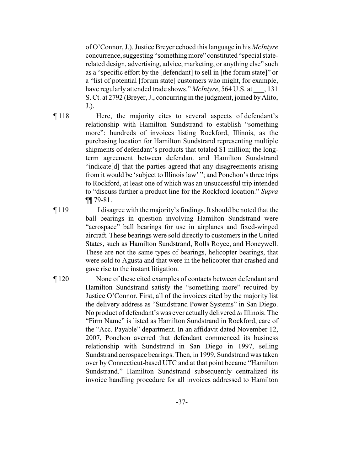of O'Connor, J.). Justice Breyer echoed this language in his *McIntyre* concurrence, suggesting "somethingmore" constituted "special staterelated design, advertising, advice, marketing, or anything else" such as a "specific effort by the [defendant] to sell in [the forum state]" or a "list of potential [forum state] customers who might, for example, have regularly attended trade shows." *McIntyre*, 564 U.S. at \_\_\_, 131 S. Ct. at 2792 (Breyer, J., concurring in the judgment, joined byAlito, J.).

¶ 118 Here, the majority cites to several aspects of defendant's relationship with Hamilton Sundstrand to establish "something more": hundreds of invoices listing Rockford, Illinois, as the purchasing location for Hamilton Sundstrand representing multiple shipments of defendant's products that totaled \$1 million; the longterm agreement between defendant and Hamilton Sundstrand "indicate[d] that the parties agreed that any disagreements arising from it would be 'subject to Illinois law' "; and Ponchon's three trips to Rockford, at least one of which was an unsuccessful trip intended to "discuss further a product line for the Rockford location." *Supra* ¶¶ 79-81.

- ¶ 119 I disagree with the majority's findings. It should be noted that the ball bearings in question involving Hamilton Sundstrand were "aerospace" ball bearings for use in airplanes and fixed-winged aircraft. These bearings were sold directly to customers in the United States, such as Hamilton Sundstrand, Rolls Royce, and Honeywell. These are not the same types of bearings, helicopter bearings, that were sold to Agusta and that were in the helicopter that crashed and gave rise to the instant litigation.
- ¶ 120 None of these cited examples of contacts between defendant and Hamilton Sundstrand satisfy the "something more" required by Justice O'Connor. First, all of the invoices cited by the majority list the delivery address as "Sundstrand Power Systems" in San Diego. No product of defendant's was ever actually delivered *to* Illinois. The "Firm Name" is listed as Hamilton Sundstrand in Rockford, care of the "Acc. Payable" department. In an affidavit dated November 12, 2007, Ponchon averred that defendant commenced its business relationship with Sundstrand in San Diego in 1997, selling Sundstrand aerospace bearings. Then, in 1999, Sundstrand was taken over by Connecticut-based UTC and at that point became "Hamilton Sundstrand." Hamilton Sundstrand subsequently centralized its invoice handling procedure for all invoices addressed to Hamilton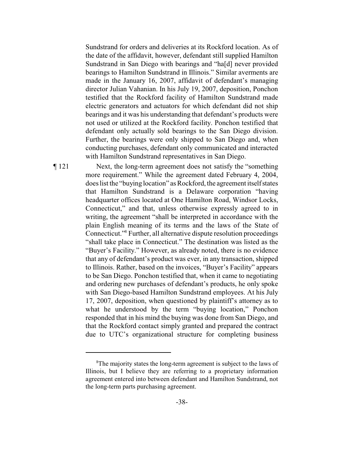Sundstrand for orders and deliveries at its Rockford location. As of the date of the affidavit, however, defendant still supplied Hamilton Sundstrand in San Diego with bearings and "ha[d] never provided bearings to Hamilton Sundstrand in Illinois." Similar averments are made in the January 16, 2007, affidavit of defendant's managing director Julian Vahanian. In his July 19, 2007, deposition, Ponchon testified that the Rockford facility of Hamilton Sundstrand made electric generators and actuators for which defendant did not ship bearings and it was his understanding that defendant's products were not used or utilized at the Rockford facility. Ponchon testified that defendant only actually sold bearings to the San Diego division. Further, the bearings were only shipped to San Diego and, when conducting purchases, defendant only communicated and interacted with Hamilton Sundstrand representatives in San Diego.

¶ 121 Next, the long-term agreement does not satisfy the "something more requirement." While the agreement dated February 4, 2004, does list the "buying location" as Rockford, the agreement itselfstates that Hamilton Sundstrand is a Delaware corporation "having headquarter offices located at One Hamilton Road, Windsor Locks, Connecticut," and that, unless otherwise expressly agreed to in writing, the agreement "shall be interpreted in accordance with the plain English meaning of its terms and the laws of the State of Connecticut."<sup>8</sup> Further, all alternative dispute resolution proceedings "shall take place in Connecticut." The destination was listed as the "Buyer's Facility." However, as already noted, there is no evidence that any of defendant's product was ever, in any transaction, shipped to Illinois. Rather, based on the invoices, "Buyer's Facility" appears to be San Diego. Ponchon testified that, when it came to negotiating and ordering new purchases of defendant's products, he only spoke with San Diego-based Hamilton Sundstrand employees. At his July 17, 2007, deposition, when questioned by plaintiff's attorney as to what he understood by the term "buying location," Ponchon responded that in his mind the buying was done from San Diego, and that the Rockford contact simply granted and prepared the contract due to UTC's organizational structure for completing business

 ${}^{8}$ The majority states the long-term agreement is subject to the laws of Illinois, but I believe they are referring to a proprietary information agreement entered into between defendant and Hamilton Sundstrand, not the long-term parts purchasing agreement.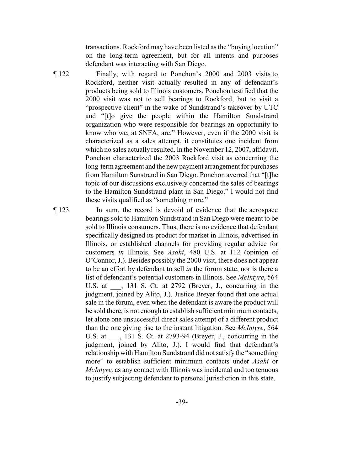transactions. Rockford may have been listed as the "buying location" on the long-term agreement, but for all intents and purposes defendant was interacting with San Diego.

- ¶ 122 Finally, with regard to Ponchon's 2000 and 2003 visits to Rockford, neither visit actually resulted in any of defendant's products being sold to Illinois customers. Ponchon testified that the 2000 visit was not to sell bearings to Rockford, but to visit a "prospective client" in the wake of Sundstrand's takeover by UTC and "[t]o give the people within the Hamilton Sundstrand organization who were responsible for bearings an opportunity to know who we, at SNFA, are." However, even if the 2000 visit is characterized as a sales attempt, it constitutes one incident from which no sales actually resulted. In the November 12, 2007, affidavit, Ponchon characterized the 2003 Rockford visit as concerning the long-term agreement and the new payment arrangement for purchases from Hamilton Sunstrand in San Diego. Ponchon averred that "[t]he topic of our discussions exclusively concerned the sales of bearings to the Hamilton Sundstrand plant in San Diego." I would not find these visits qualified as "something more."
- ¶ 123 In sum, the record is devoid of evidence that the aerospace bearings sold to Hamilton Sundstrand in San Diego were meant to be sold to Illinois consumers. Thus, there is no evidence that defendant specifically designed its product for market in Illinois, advertised in Illinois, or established channels for providing regular advice for customers *in* Illinois. See *Asahi*, 480 U.S. at 112 (opinion of O'Connor, J.). Besides possibly the 2000 visit, there does not appear to be an effort by defendant to sell *in* the forum state, nor is there a list of defendant's potential customers in Illinois. See *McIntyre*, 564 U.S. at \_\_\_, 131 S. Ct. at 2792 (Breyer, J., concurring in the judgment, joined by Alito, J.). Justice Breyer found that one actual sale in the forum, even when the defendant is aware the product will be sold there, is not enough to establish sufficient minimum contacts, let alone one unsuccessful direct sales attempt of a different product than the one giving rise to the instant litigation. See *McIntyre*, 564 U.S. at  $\qquad$ , 131 S. Ct. at 2793-94 (Breyer, J., concurring in the judgment, joined by Alito, J.). I would find that defendant's relationship with Hamilton Sundstrand did not satisfythe "something more" to establish sufficient minimum contacts under *Asahi* or *McIntyre,* as any contact with Illinois was incidental and too tenuous to justify subjecting defendant to personal jurisdiction in this state.